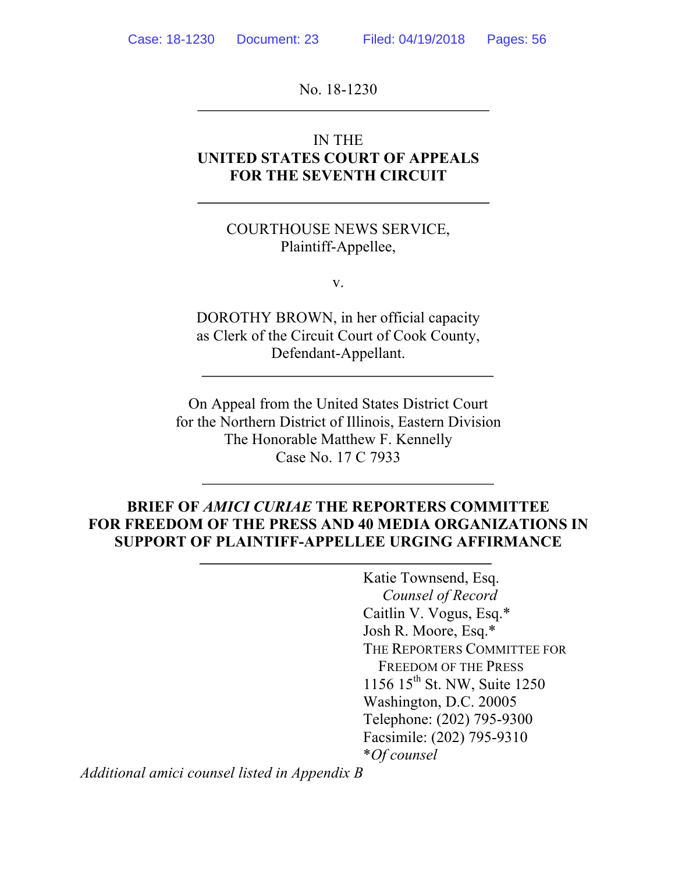No. 18-1230

### IN THE **UNITED STATES COURT OF APPEALS FOR THE SEVENTH CIRCUIT**

### COURTHOUSE NEWS SERVICE, Plaintiff-Appellee,

v.

DOROTHY BROWN, in her official capacity as Clerk of the Circuit Court of Cook County, Defendant-Appellant.

On Appeal from the United States District Court for the Northern District of Illinois, Eastern Division The Honorable Matthew F. Kennelly Case No. 17 C 7933

## **BRIEF OF** *AMICI CURIAE* **THE REPORTERS COMMITTEE FOR FREEDOM OF THE PRESS AND 40 MEDIA ORGANIZATIONS IN SUPPORT OF PLAINTIFF-APPELLEE URGING AFFIRMANCE**

Katie Townsend, Esq. *Counsel of Record* Caitlin V. Vogus, Esq.\* Josh R. Moore, Esq.\* THE REPORTERS COMMITTEE FOR FREEDOM OF THE PRESS 1156 15<sup>th</sup> St. NW, Suite 1250 Washington, D.C. 20005 Telephone: (202) 795-9300 Facsimile: (202) 795-9310 \**Of counsel*

*Additional amici counsel listed in Appendix B*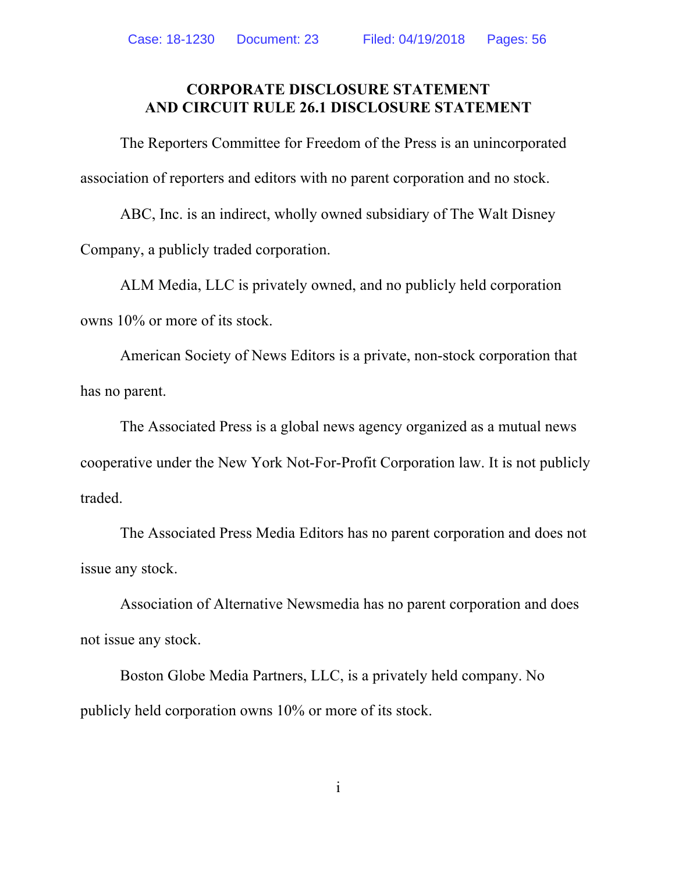### **CORPORATE DISCLOSURE STATEMENT AND CIRCUIT RULE 26.1 DISCLOSURE STATEMENT**

The Reporters Committee for Freedom of the Press is an unincorporated association of reporters and editors with no parent corporation and no stock.

ABC, Inc. is an indirect, wholly owned subsidiary of The Walt Disney Company, a publicly traded corporation.

ALM Media, LLC is privately owned, and no publicly held corporation owns 10% or more of its stock.

American Society of News Editors is a private, non-stock corporation that has no parent.

The Associated Press is a global news agency organized as a mutual news cooperative under the New York Not-For-Profit Corporation law. It is not publicly traded.

The Associated Press Media Editors has no parent corporation and does not issue any stock.

Association of Alternative Newsmedia has no parent corporation and does not issue any stock.

Boston Globe Media Partners, LLC, is a privately held company. No publicly held corporation owns 10% or more of its stock.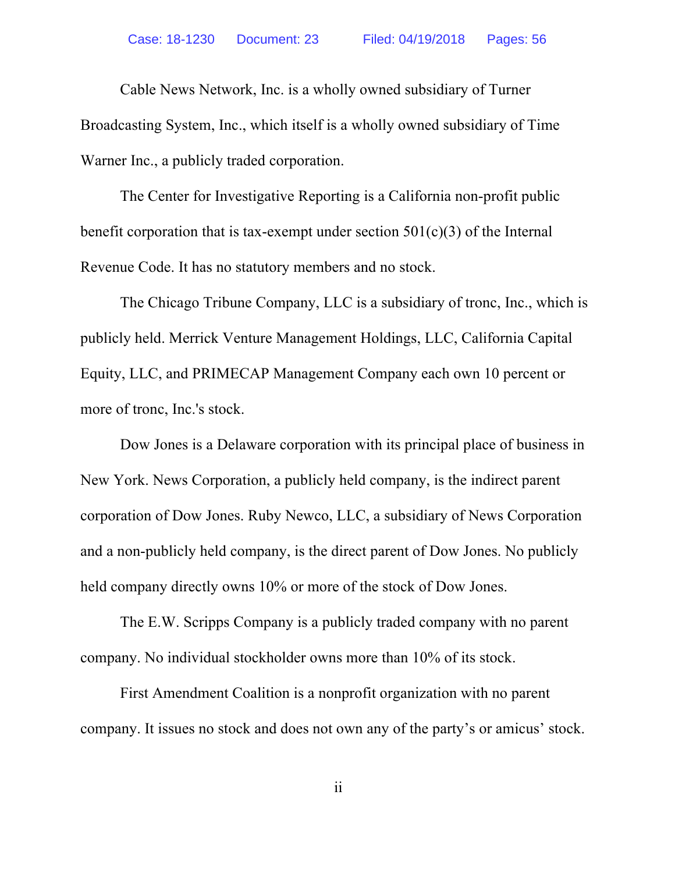Cable News Network, Inc. is a wholly owned subsidiary of Turner Broadcasting System, Inc., which itself is a wholly owned subsidiary of Time Warner Inc., a publicly traded corporation.

The Center for Investigative Reporting is a California non-profit public benefit corporation that is tax-exempt under section  $501(c)(3)$  of the Internal Revenue Code. It has no statutory members and no stock.

The Chicago Tribune Company, LLC is a subsidiary of tronc, Inc., which is publicly held. Merrick Venture Management Holdings, LLC, California Capital Equity, LLC, and PRIMECAP Management Company each own 10 percent or more of tronc, Inc.'s stock.

Dow Jones is a Delaware corporation with its principal place of business in New York. News Corporation, a publicly held company, is the indirect parent corporation of Dow Jones. Ruby Newco, LLC, a subsidiary of News Corporation and a non-publicly held company, is the direct parent of Dow Jones. No publicly held company directly owns 10% or more of the stock of Dow Jones.

The E.W. Scripps Company is a publicly traded company with no parent company. No individual stockholder owns more than 10% of its stock.

First Amendment Coalition is a nonprofit organization with no parent company. It issues no stock and does not own any of the party's or amicus' stock.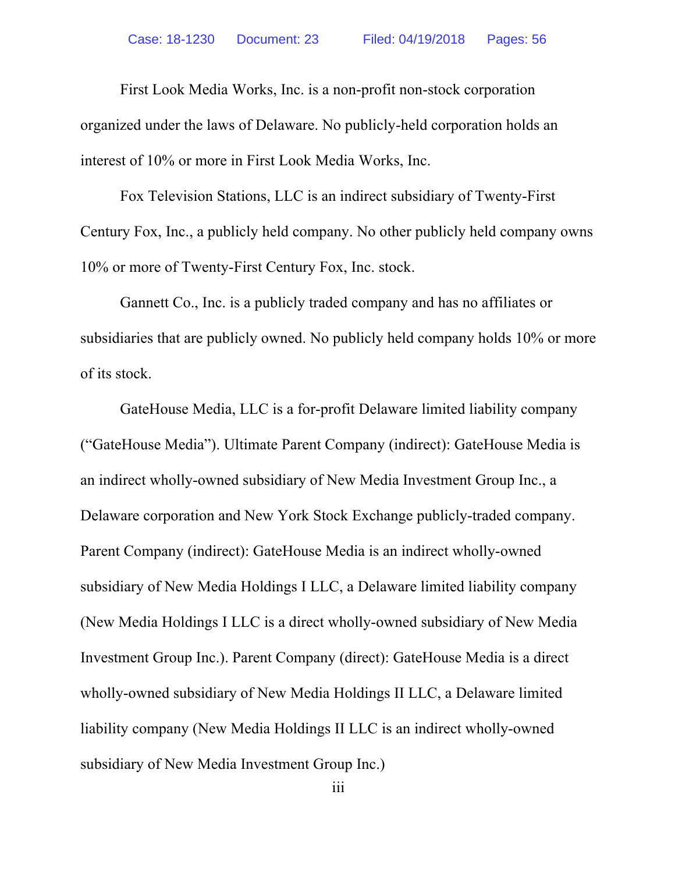First Look Media Works, Inc. is a non-profit non-stock corporation organized under the laws of Delaware. No publicly-held corporation holds an interest of 10% or more in First Look Media Works, Inc.

Fox Television Stations, LLC is an indirect subsidiary of Twenty-First Century Fox, Inc., a publicly held company. No other publicly held company owns 10% or more of Twenty-First Century Fox, Inc. stock.

Gannett Co., Inc. is a publicly traded company and has no affiliates or subsidiaries that are publicly owned. No publicly held company holds 10% or more of its stock.

GateHouse Media, LLC is a for-profit Delaware limited liability company ("GateHouse Media"). Ultimate Parent Company (indirect): GateHouse Media is an indirect wholly-owned subsidiary of New Media Investment Group Inc., a Delaware corporation and New York Stock Exchange publicly-traded company. Parent Company (indirect): GateHouse Media is an indirect wholly-owned subsidiary of New Media Holdings I LLC, a Delaware limited liability company (New Media Holdings I LLC is a direct wholly-owned subsidiary of New Media Investment Group Inc.). Parent Company (direct): GateHouse Media is a direct wholly-owned subsidiary of New Media Holdings II LLC, a Delaware limited liability company (New Media Holdings II LLC is an indirect wholly-owned subsidiary of New Media Investment Group Inc.)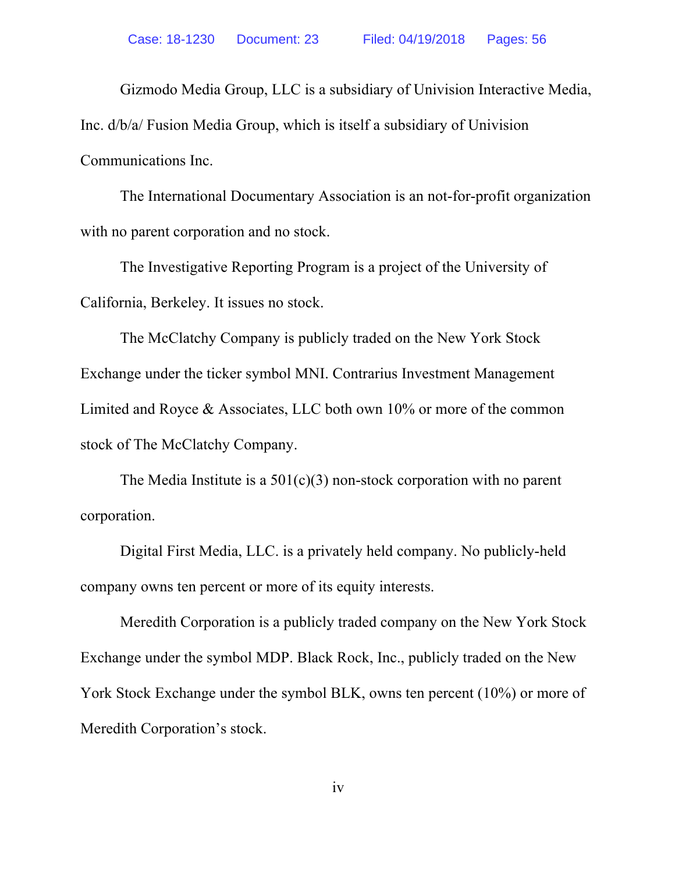Gizmodo Media Group, LLC is a subsidiary of Univision Interactive Media, Inc. d/b/a/ Fusion Media Group, which is itself a subsidiary of Univision Communications Inc.

The International Documentary Association is an not-for-profit organization with no parent corporation and no stock.

The Investigative Reporting Program is a project of the University of California, Berkeley. It issues no stock.

The McClatchy Company is publicly traded on the New York Stock Exchange under the ticker symbol MNI. Contrarius Investment Management Limited and Royce & Associates, LLC both own 10% or more of the common stock of The McClatchy Company.

The Media Institute is a  $501(c)(3)$  non-stock corporation with no parent corporation.

Digital First Media, LLC. is a privately held company. No publicly-held company owns ten percent or more of its equity interests.

Meredith Corporation is a publicly traded company on the New York Stock Exchange under the symbol MDP. Black Rock, Inc., publicly traded on the New York Stock Exchange under the symbol BLK, owns ten percent (10%) or more of Meredith Corporation's stock.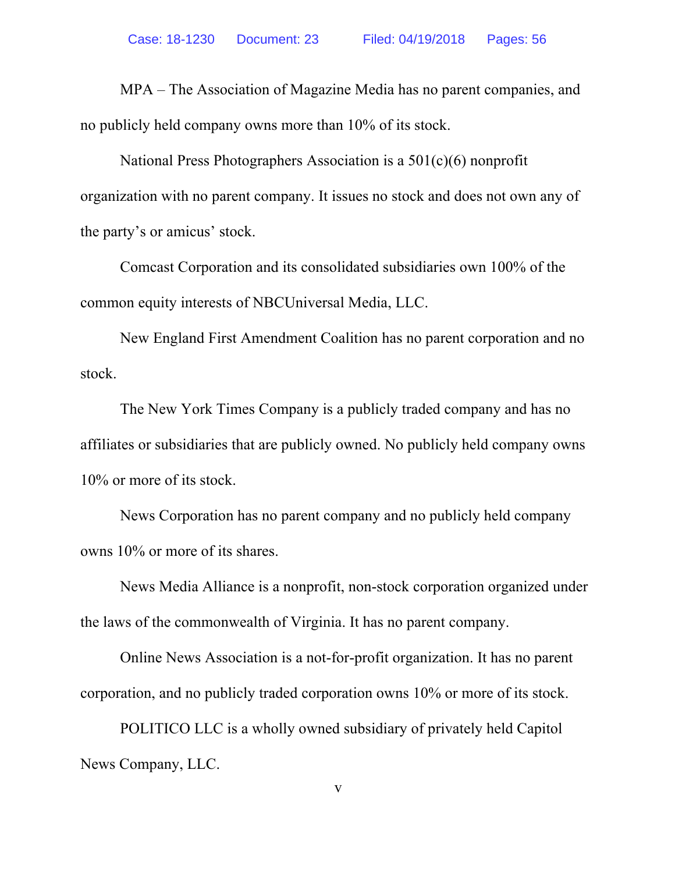MPA – The Association of Magazine Media has no parent companies, and no publicly held company owns more than 10% of its stock.

National Press Photographers Association is a 501(c)(6) nonprofit organization with no parent company. It issues no stock and does not own any of the party's or amicus' stock.

Comcast Corporation and its consolidated subsidiaries own 100% of the common equity interests of NBCUniversal Media, LLC.

New England First Amendment Coalition has no parent corporation and no stock.

The New York Times Company is a publicly traded company and has no affiliates or subsidiaries that are publicly owned. No publicly held company owns 10% or more of its stock.

News Corporation has no parent company and no publicly held company owns 10% or more of its shares.

News Media Alliance is a nonprofit, non-stock corporation organized under the laws of the commonwealth of Virginia. It has no parent company.

Online News Association is a not-for-profit organization. It has no parent corporation, and no publicly traded corporation owns 10% or more of its stock.

POLITICO LLC is a wholly owned subsidiary of privately held Capitol News Company, LLC.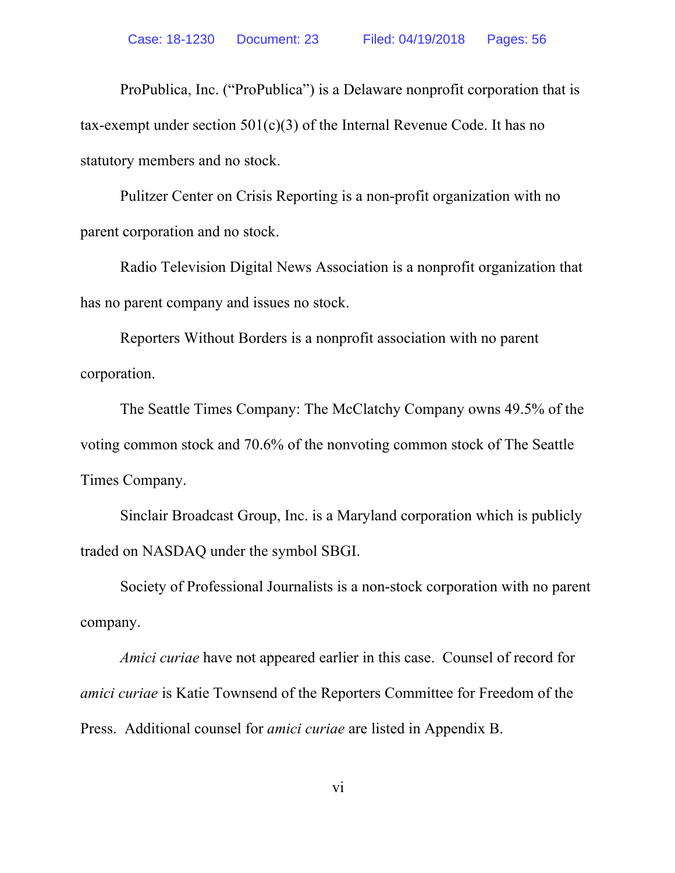ProPublica, Inc. ("ProPublica") is a Delaware nonprofit corporation that is tax-exempt under section 501(c)(3) of the Internal Revenue Code. It has no statutory members and no stock.

Pulitzer Center on Crisis Reporting is a non-profit organization with no parent corporation and no stock.

Radio Television Digital News Association is a nonprofit organization that has no parent company and issues no stock.

Reporters Without Borders is a nonprofit association with no parent corporation.

The Seattle Times Company: The McClatchy Company owns 49.5% of the voting common stock and 70.6% of the nonvoting common stock of The Seattle Times Company.

Sinclair Broadcast Group, Inc. is a Maryland corporation which is publicly traded on NASDAQ under the symbol SBGI.

Society of Professional Journalists is a non-stock corporation with no parent company.

*Amici curiae* have not appeared earlier in this case. Counsel of record for *amici curiae* is Katie Townsend of the Reporters Committee for Freedom of the Press. Additional counsel for *amici curiae* are listed in Appendix B.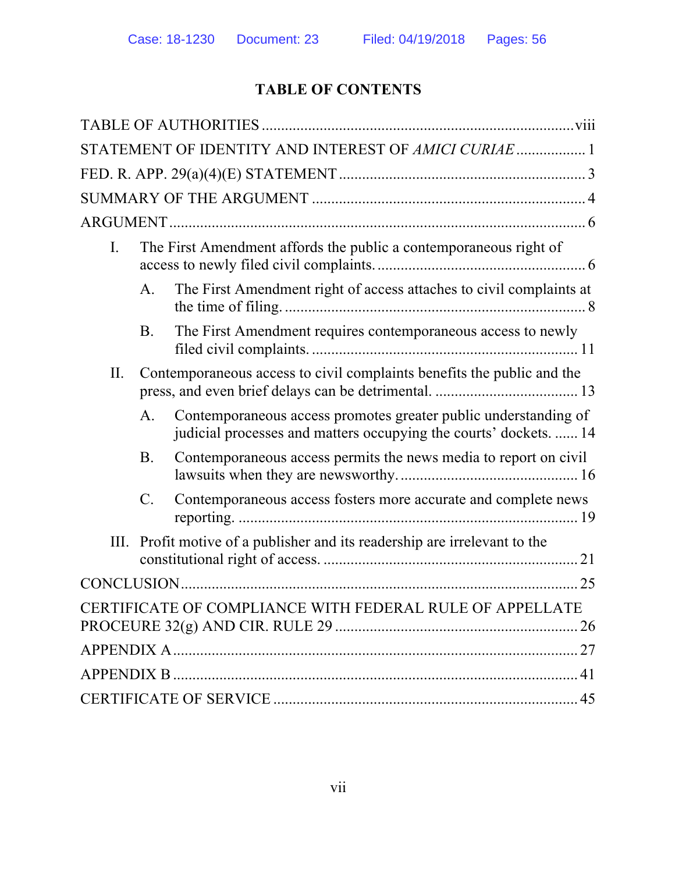# **TABLE OF CONTENTS**

|                |                                                                        | STATEMENT OF IDENTITY AND INTEREST OF AMICI CURIAE  1                                                                                |  |  |  |
|----------------|------------------------------------------------------------------------|--------------------------------------------------------------------------------------------------------------------------------------|--|--|--|
|                |                                                                        |                                                                                                                                      |  |  |  |
|                |                                                                        |                                                                                                                                      |  |  |  |
|                |                                                                        |                                                                                                                                      |  |  |  |
| $\mathbf{I}$ . | The First Amendment affords the public a contemporaneous right of      |                                                                                                                                      |  |  |  |
|                | A.                                                                     | The First Amendment right of access attaches to civil complaints at                                                                  |  |  |  |
|                | <b>B</b> .                                                             | The First Amendment requires contemporaneous access to newly                                                                         |  |  |  |
| II.            | Contemporaneous access to civil complaints benefits the public and the |                                                                                                                                      |  |  |  |
|                | А.                                                                     | Contemporaneous access promotes greater public understanding of<br>judicial processes and matters occupying the courts' dockets.  14 |  |  |  |
|                | B.                                                                     | Contemporaneous access permits the news media to report on civil                                                                     |  |  |  |
|                | $\mathcal{C}$ .                                                        | Contemporaneous access fosters more accurate and complete news                                                                       |  |  |  |
| III.           |                                                                        | Profit motive of a publisher and its readership are irrelevant to the                                                                |  |  |  |
|                |                                                                        |                                                                                                                                      |  |  |  |
|                |                                                                        | CERTIFICATE OF COMPLIANCE WITH FEDERAL RULE OF APPELLATE                                                                             |  |  |  |
|                |                                                                        |                                                                                                                                      |  |  |  |
|                |                                                                        |                                                                                                                                      |  |  |  |
|                |                                                                        |                                                                                                                                      |  |  |  |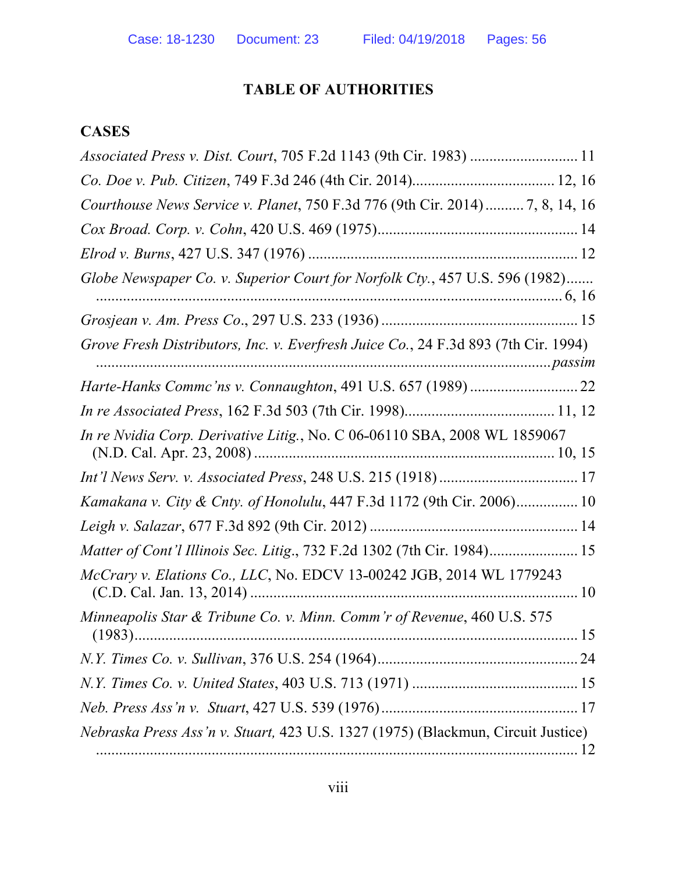## **TABLE OF AUTHORITIES**

## **CASES**

| Associated Press v. Dist. Court, 705 F.2d 1143 (9th Cir. 1983)  11                 |  |
|------------------------------------------------------------------------------------|--|
|                                                                                    |  |
| Courthouse News Service v. Planet, 750 F.3d 776 (9th Cir. 2014)7, 8, 14, 16        |  |
|                                                                                    |  |
|                                                                                    |  |
| Globe Newspaper Co. v. Superior Court for Norfolk Cty., 457 U.S. 596 (1982)        |  |
|                                                                                    |  |
|                                                                                    |  |
| Grove Fresh Distributors, Inc. v. Everfresh Juice Co., 24 F.3d 893 (7th Cir. 1994) |  |
|                                                                                    |  |
|                                                                                    |  |
| In re Nvidia Corp. Derivative Litig., No. C 06-06110 SBA, 2008 WL 1859067          |  |
|                                                                                    |  |
| Kamakana v. City & Cnty. of Honolulu, 447 F.3d 1172 (9th Cir. 2006) 10             |  |
|                                                                                    |  |
| Matter of Cont'l Illinois Sec. Litig., 732 F.2d 1302 (7th Cir. 1984) 15            |  |
| McCrary v. Elations Co., LLC, No. EDCV 13-00242 JGB, 2014 WL 1779243               |  |
| Minneapolis Star & Tribune Co. v. Minn. Comm'r of Revenue, 460 U.S. 575            |  |
|                                                                                    |  |
|                                                                                    |  |
|                                                                                    |  |
| Nebraska Press Ass'n v. Stuart, 423 U.S. 1327 (1975) (Blackmun, Circuit Justice)   |  |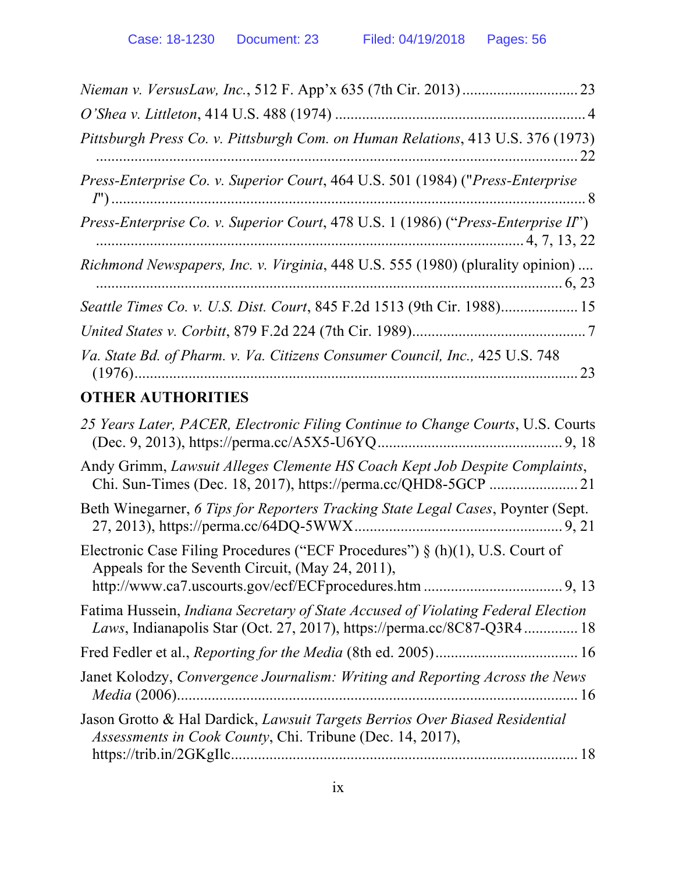| Pittsburgh Press Co. v. Pittsburgh Com. on Human Relations, 413 U.S. 376 (1973)                                                                            |
|------------------------------------------------------------------------------------------------------------------------------------------------------------|
| Press-Enterprise Co. v. Superior Court, 464 U.S. 501 (1984) ("Press-Enterprise                                                                             |
| Press-Enterprise Co. v. Superior Court, 478 U.S. 1 (1986) ("Press-Enterprise II")                                                                          |
| Richmond Newspapers, Inc. v. Virginia, 448 U.S. 555 (1980) (plurality opinion)                                                                             |
| Seattle Times Co. v. U.S. Dist. Court, 845 F.2d 1513 (9th Cir. 1988) 15                                                                                    |
|                                                                                                                                                            |
| Va. State Bd. of Pharm. v. Va. Citizens Consumer Council, Inc., 425 U.S. 748                                                                               |
| <b>OTHER AUTHORITIES</b>                                                                                                                                   |
| 25 Years Later, PACER, Electronic Filing Continue to Change Courts, U.S. Courts                                                                            |
| Andy Grimm, Lawsuit Alleges Clemente HS Coach Kept Job Despite Complaints,                                                                                 |
| Beth Winegarner, 6 Tips for Reporters Tracking State Legal Cases, Poynter (Sept.                                                                           |
| Electronic Case Filing Procedures ("ECF Procedures") $\S(h)(1)$ , U.S. Court of<br>Appeals for the Seventh Circuit, (May 24, 2011),                        |
|                                                                                                                                                            |
| Fatima Hussein, Indiana Secretary of State Accused of Violating Federal Election<br>Laws, Indianapolis Star (Oct. 27, 2017), https://perma.cc/8C87-Q3R4 18 |
|                                                                                                                                                            |
| Janet Kolodzy, Convergence Journalism: Writing and Reporting Across the News                                                                               |
| Jason Grotto & Hal Dardick, Lawsuit Targets Berrios Over Biased Residential<br>Assessments in Cook County, Chi. Tribune (Dec. 14, 2017),                   |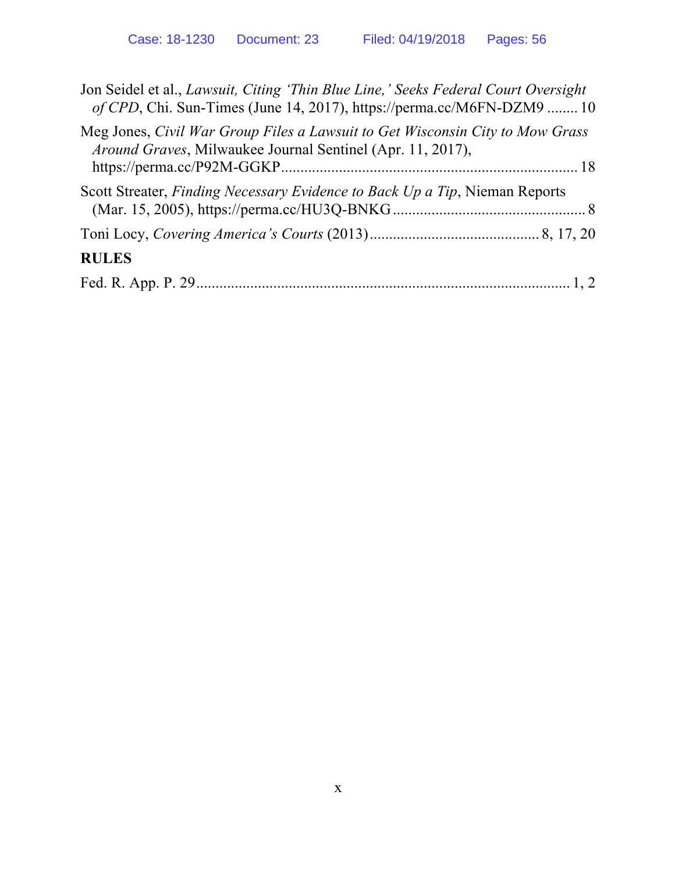| Jon Seidel et al., Lawsuit, Citing 'Thin Blue Line,' Seeks Federal Court Oversight<br>of CPD, Chi. Sun-Times (June 14, 2017), https://perma.cc/M6FN-DZM9  10 |  |
|--------------------------------------------------------------------------------------------------------------------------------------------------------------|--|
| Meg Jones, Civil War Group Files a Lawsuit to Get Wisconsin City to Mow Grass<br><i>Around Graves, Milwaukee Journal Sentinel (Apr. 11, 2017),</i>           |  |
| Scott Streater, Finding Necessary Evidence to Back Up a Tip, Nieman Reports                                                                                  |  |
|                                                                                                                                                              |  |
| <b>RULES</b>                                                                                                                                                 |  |
|                                                                                                                                                              |  |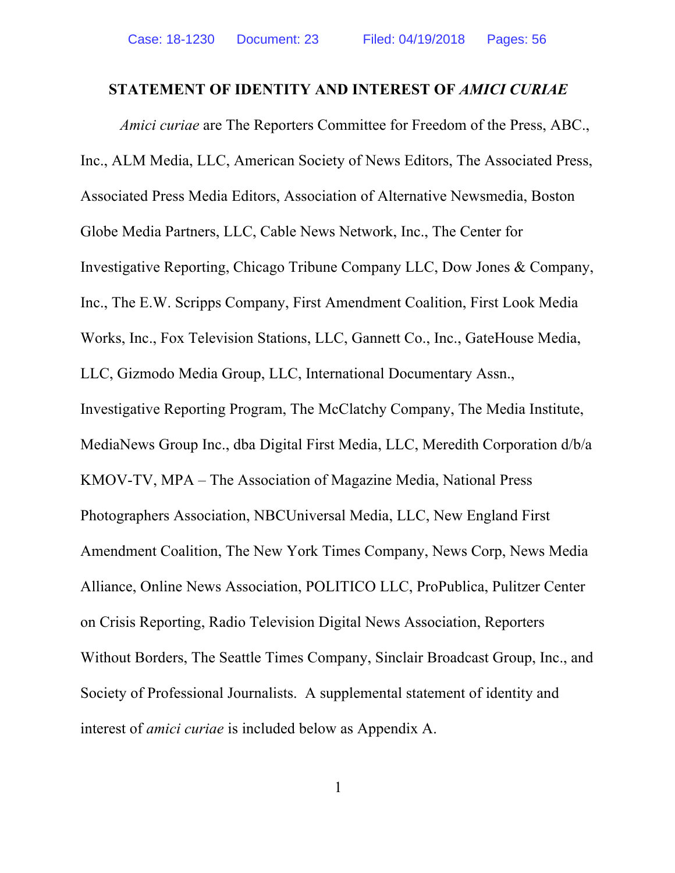#### **STATEMENT OF IDENTITY AND INTEREST OF** *AMICI CURIAE*

*Amici curiae* are The Reporters Committee for Freedom of the Press, ABC., Inc., ALM Media, LLC, American Society of News Editors, The Associated Press, Associated Press Media Editors, Association of Alternative Newsmedia, Boston Globe Media Partners, LLC, Cable News Network, Inc., The Center for Investigative Reporting, Chicago Tribune Company LLC, Dow Jones & Company, Inc., The E.W. Scripps Company, First Amendment Coalition, First Look Media Works, Inc., Fox Television Stations, LLC, Gannett Co., Inc., GateHouse Media, LLC, Gizmodo Media Group, LLC, International Documentary Assn., Investigative Reporting Program, The McClatchy Company, The Media Institute, MediaNews Group Inc., dba Digital First Media, LLC, Meredith Corporation d/b/a KMOV-TV, MPA – The Association of Magazine Media, National Press Photographers Association, NBCUniversal Media, LLC, New England First Amendment Coalition, The New York Times Company, News Corp, News Media Alliance, Online News Association, POLITICO LLC, ProPublica, Pulitzer Center on Crisis Reporting, Radio Television Digital News Association, Reporters Without Borders, The Seattle Times Company, Sinclair Broadcast Group, Inc., and Society of Professional Journalists. A supplemental statement of identity and interest of *amici curiae* is included below as Appendix A.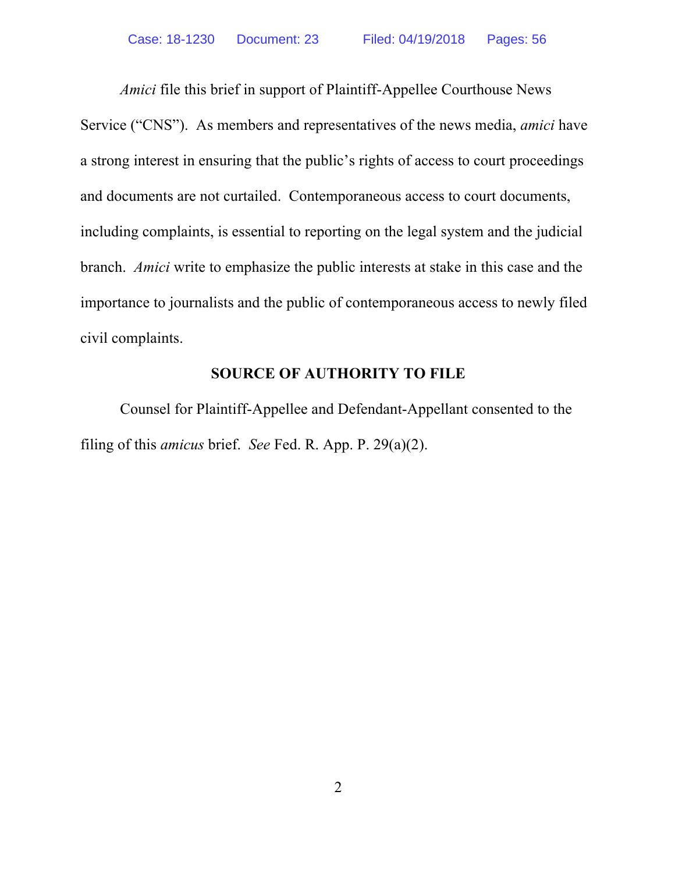*Amici* file this brief in support of Plaintiff-Appellee Courthouse News Service ("CNS"). As members and representatives of the news media, *amici* have a strong interest in ensuring that the public's rights of access to court proceedings and documents are not curtailed. Contemporaneous access to court documents, including complaints, is essential to reporting on the legal system and the judicial branch. *Amici* write to emphasize the public interests at stake in this case and the importance to journalists and the public of contemporaneous access to newly filed civil complaints.

### **SOURCE OF AUTHORITY TO FILE**

Counsel for Plaintiff-Appellee and Defendant-Appellant consented to the filing of this *amicus* brief. *See* Fed. R. App. P. 29(a)(2).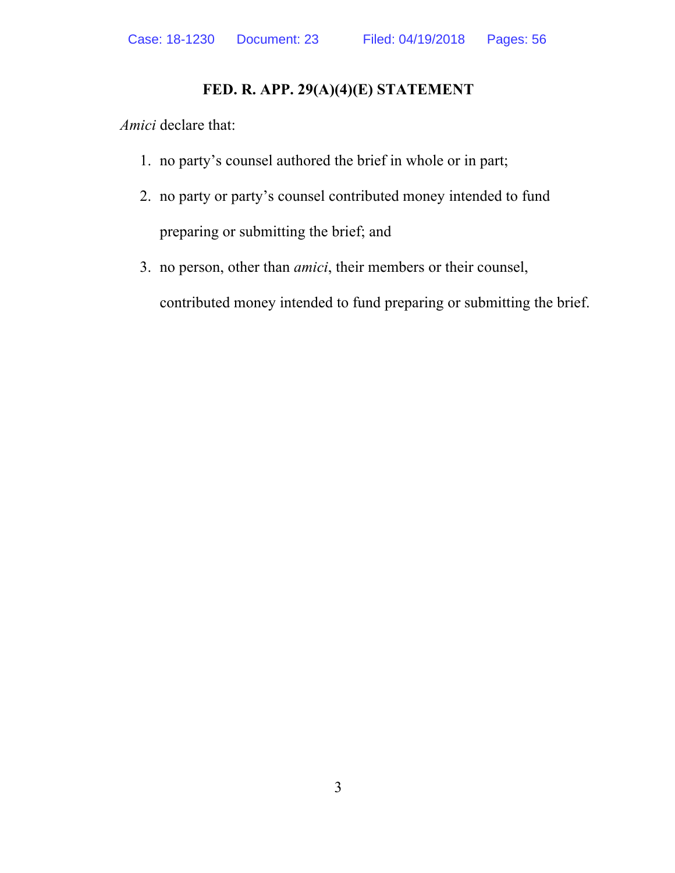### **FED. R. APP. 29(A)(4)(E) STATEMENT**

*Amici* declare that:

- 1. no party's counsel authored the brief in whole or in part;
- 2. no party or party's counsel contributed money intended to fund preparing or submitting the brief; and
- 3. no person, other than *amici*, their members or their counsel, contributed money intended to fund preparing or submitting the brief.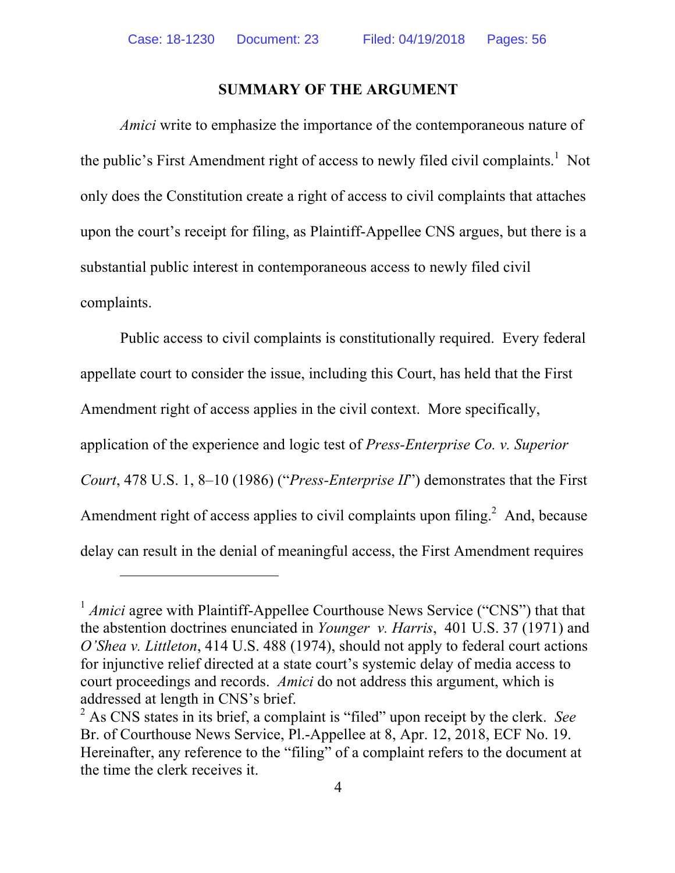#### **SUMMARY OF THE ARGUMENT**

*Amici* write to emphasize the importance of the contemporaneous nature of the public's First Amendment right of access to newly filed civil complaints.<sup>1</sup> Not only does the Constitution create a right of access to civil complaints that attaches upon the court's receipt for filing, as Plaintiff-Appellee CNS argues, but there is a substantial public interest in contemporaneous access to newly filed civil complaints.

Public access to civil complaints is constitutionally required. Every federal appellate court to consider the issue, including this Court, has held that the First Amendment right of access applies in the civil context. More specifically, application of the experience and logic test of *Press-Enterprise Co. v. Superior Court*, 478 U.S. 1, 8–10 (1986) ("*Press-Enterprise II*") demonstrates that the First Amendment right of access applies to civil complaints upon filing.<sup>2</sup> And, because delay can result in the denial of meaningful access, the First Amendment requires

1

<sup>&</sup>lt;sup>1</sup> *Amici* agree with Plaintiff-Appellee Courthouse News Service ("CNS") that that the abstention doctrines enunciated in *Younger v. Harris*, 401 U.S. 37 (1971) and *O'Shea v. Littleton*, 414 U.S. 488 (1974), should not apply to federal court actions for injunctive relief directed at a state court's systemic delay of media access to court proceedings and records. *Amici* do not address this argument, which is addressed at length in CNS's brief.

<sup>2</sup> As CNS states in its brief, a complaint is "filed" upon receipt by the clerk. *See* Br. of Courthouse News Service, Pl.-Appellee at 8, Apr. 12, 2018, ECF No. 19. Hereinafter, any reference to the "filing" of a complaint refers to the document at the time the clerk receives it.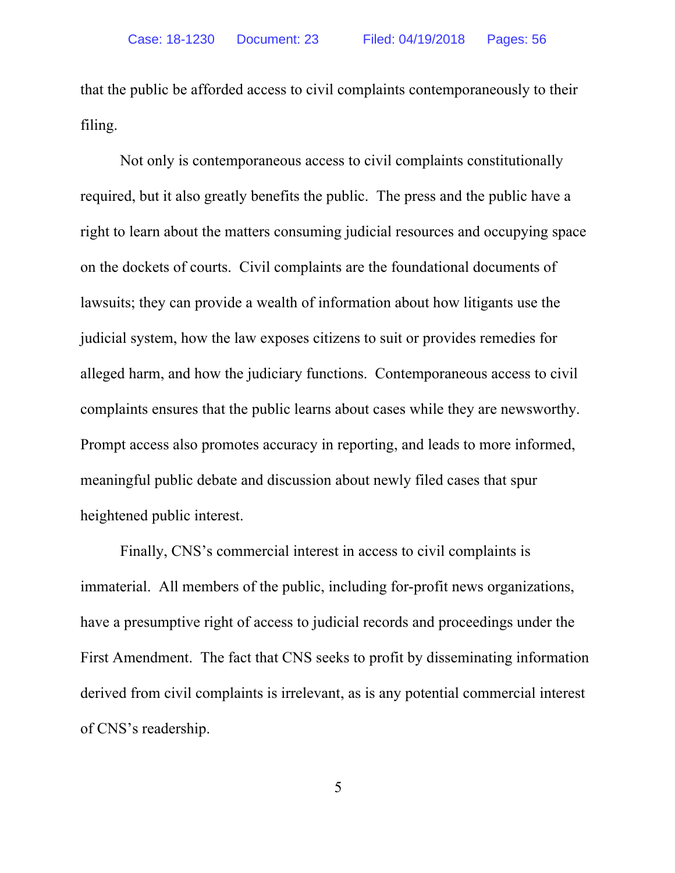that the public be afforded access to civil complaints contemporaneously to their filing.

Not only is contemporaneous access to civil complaints constitutionally required, but it also greatly benefits the public. The press and the public have a right to learn about the matters consuming judicial resources and occupying space on the dockets of courts. Civil complaints are the foundational documents of lawsuits; they can provide a wealth of information about how litigants use the judicial system, how the law exposes citizens to suit or provides remedies for alleged harm, and how the judiciary functions. Contemporaneous access to civil complaints ensures that the public learns about cases while they are newsworthy. Prompt access also promotes accuracy in reporting, and leads to more informed, meaningful public debate and discussion about newly filed cases that spur heightened public interest.

Finally, CNS's commercial interest in access to civil complaints is immaterial. All members of the public, including for-profit news organizations, have a presumptive right of access to judicial records and proceedings under the First Amendment. The fact that CNS seeks to profit by disseminating information derived from civil complaints is irrelevant, as is any potential commercial interest of CNS's readership.

5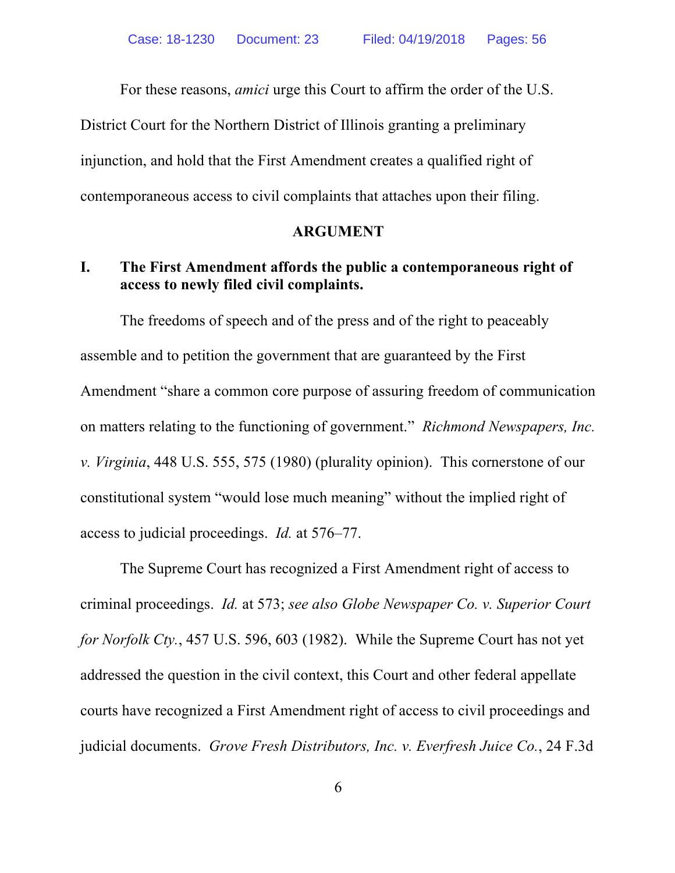For these reasons, *amici* urge this Court to affirm the order of the U.S. District Court for the Northern District of Illinois granting a preliminary injunction, and hold that the First Amendment creates a qualified right of contemporaneous access to civil complaints that attaches upon their filing.

#### **ARGUMENT**

### **I. The First Amendment affords the public a contemporaneous right of access to newly filed civil complaints.**

The freedoms of speech and of the press and of the right to peaceably assemble and to petition the government that are guaranteed by the First Amendment "share a common core purpose of assuring freedom of communication on matters relating to the functioning of government." *Richmond Newspapers, Inc. v. Virginia*, 448 U.S. 555, 575 (1980) (plurality opinion). This cornerstone of our constitutional system "would lose much meaning" without the implied right of access to judicial proceedings. *Id.* at 576–77.

The Supreme Court has recognized a First Amendment right of access to criminal proceedings. *Id.* at 573; *see also Globe Newspaper Co. v. Superior Court for Norfolk Cty.*, 457 U.S. 596, 603 (1982). While the Supreme Court has not yet addressed the question in the civil context, this Court and other federal appellate courts have recognized a First Amendment right of access to civil proceedings and judicial documents. *Grove Fresh Distributors, Inc. v. Everfresh Juice Co.*, 24 F.3d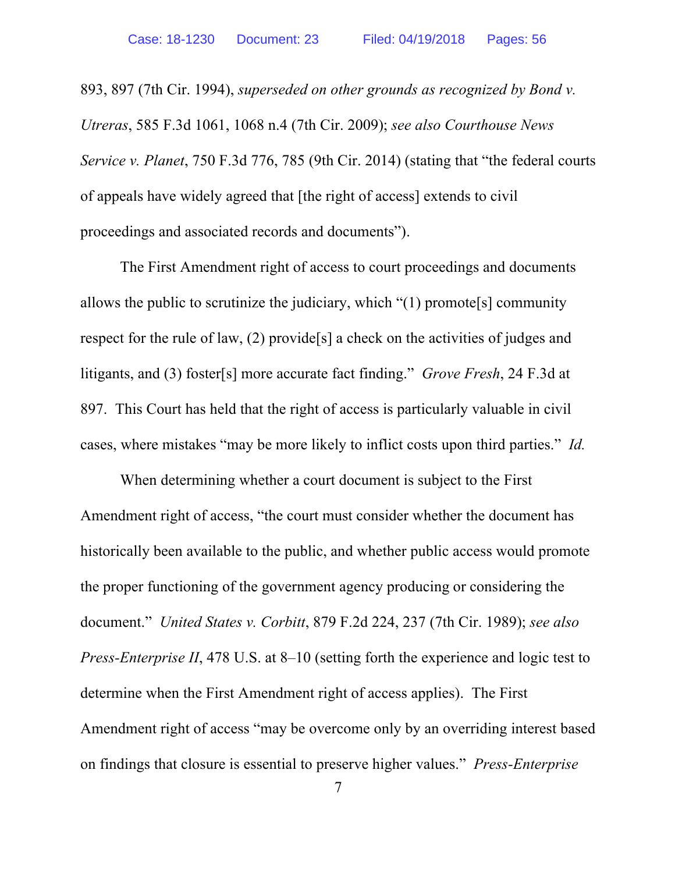893, 897 (7th Cir. 1994), *superseded on other grounds as recognized by Bond v. Utreras*, 585 F.3d 1061, 1068 n.4 (7th Cir. 2009); *see also Courthouse News Service v. Planet*, 750 F.3d 776, 785 (9th Cir. 2014) (stating that "the federal courts of appeals have widely agreed that [the right of access] extends to civil proceedings and associated records and documents").

The First Amendment right of access to court proceedings and documents allows the public to scrutinize the judiciary, which  $\degree(1)$  promote<sup>[s]</sup> community respect for the rule of law, (2) provide[s] a check on the activities of judges and litigants, and (3) foster[s] more accurate fact finding." *Grove Fresh*, 24 F.3d at 897. This Court has held that the right of access is particularly valuable in civil cases, where mistakes "may be more likely to inflict costs upon third parties." *Id.*

When determining whether a court document is subject to the First Amendment right of access, "the court must consider whether the document has historically been available to the public, and whether public access would promote the proper functioning of the government agency producing or considering the document." *United States v. Corbitt*, 879 F.2d 224, 237 (7th Cir. 1989); *see also Press-Enterprise II*, 478 U.S. at 8–10 (setting forth the experience and logic test to determine when the First Amendment right of access applies). The First Amendment right of access "may be overcome only by an overriding interest based on findings that closure is essential to preserve higher values." *Press-Enterprise*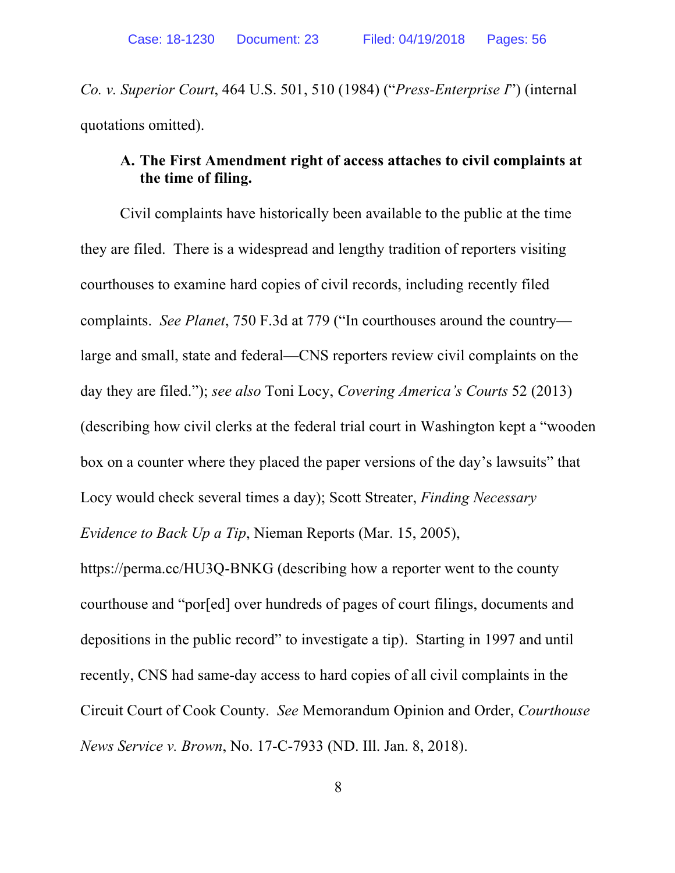*Co. v. Superior Court*, 464 U.S. 501, 510 (1984) ("*Press-Enterprise I*") (internal quotations omitted).

## **A. The First Amendment right of access attaches to civil complaints at the time of filing.**

Civil complaints have historically been available to the public at the time they are filed. There is a widespread and lengthy tradition of reporters visiting courthouses to examine hard copies of civil records, including recently filed complaints. *See Planet*, 750 F.3d at 779 ("In courthouses around the country large and small, state and federal—CNS reporters review civil complaints on the day they are filed."); *see also* Toni Locy, *Covering America's Courts* 52 (2013) (describing how civil clerks at the federal trial court in Washington kept a "wooden box on a counter where they placed the paper versions of the day's lawsuits" that Locy would check several times a day); Scott Streater, *Finding Necessary Evidence to Back Up a Tip*, Nieman Reports (Mar. 15, 2005),

https://perma.cc/HU3Q-BNKG (describing how a reporter went to the county courthouse and "por[ed] over hundreds of pages of court filings, documents and depositions in the public record" to investigate a tip). Starting in 1997 and until recently, CNS had same-day access to hard copies of all civil complaints in the Circuit Court of Cook County. *See* Memorandum Opinion and Order, *Courthouse News Service v. Brown*, No. 17-C-7933 (ND. Ill. Jan. 8, 2018).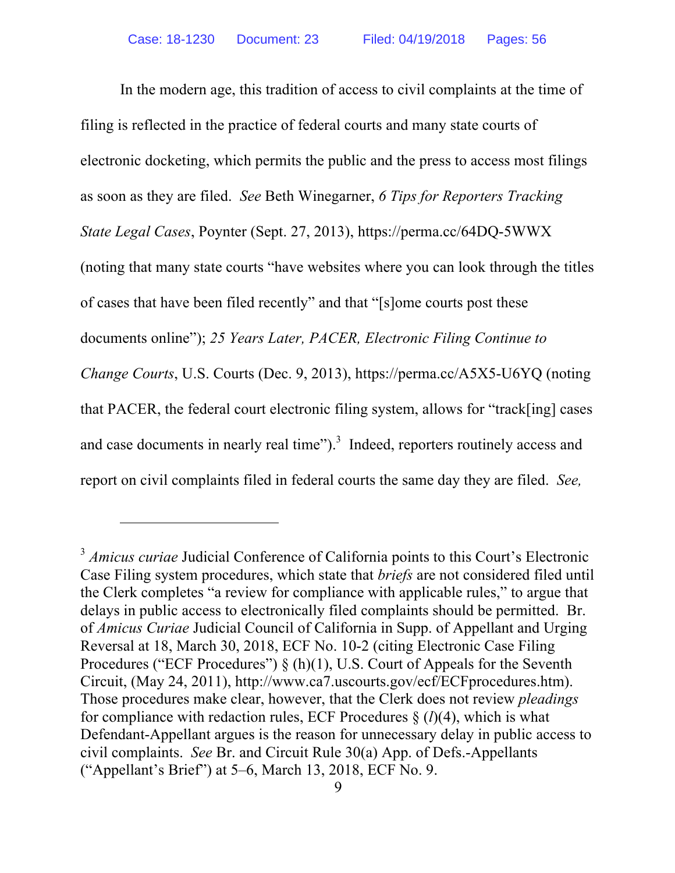In the modern age, this tradition of access to civil complaints at the time of filing is reflected in the practice of federal courts and many state courts of electronic docketing, which permits the public and the press to access most filings as soon as they are filed. *See* Beth Winegarner, *6 Tips for Reporters Tracking State Legal Cases*, Poynter (Sept. 27, 2013), https://perma.cc/64DQ-5WWX (noting that many state courts "have websites where you can look through the titles of cases that have been filed recently" and that "[s]ome courts post these documents online"); *25 Years Later, PACER, Electronic Filing Continue to Change Courts*, U.S. Courts (Dec. 9, 2013), https://perma.cc/A5X5-U6YQ (noting that PACER, the federal court electronic filing system, allows for "track[ing] cases and case documents in nearly real time" $)$ .<sup>3</sup> Indeed, reporters routinely access and report on civil complaints filed in federal courts the same day they are filed. *See,* 

<u>.</u>

<sup>&</sup>lt;sup>3</sup> *Amicus curiae* Judicial Conference of California points to this Court's Electronic Case Filing system procedures, which state that *briefs* are not considered filed until the Clerk completes "a review for compliance with applicable rules," to argue that delays in public access to electronically filed complaints should be permitted. Br. of *Amicus Curiae* Judicial Council of California in Supp. of Appellant and Urging Reversal at 18, March 30, 2018, ECF No. 10-2 (citing Electronic Case Filing Procedures ("ECF Procedures")  $\S(h)(1)$ , U.S. Court of Appeals for the Seventh Circuit, (May 24, 2011), http://www.ca7.uscourts.gov/ecf/ECFprocedures.htm). Those procedures make clear, however, that the Clerk does not review *pleadings* for compliance with redaction rules, ECF Procedures § (*l*)(4), which is what Defendant-Appellant argues is the reason for unnecessary delay in public access to civil complaints. *See* Br. and Circuit Rule 30(a) App. of Defs.-Appellants ("Appellant's Brief") at 5–6, March 13, 2018, ECF No. 9.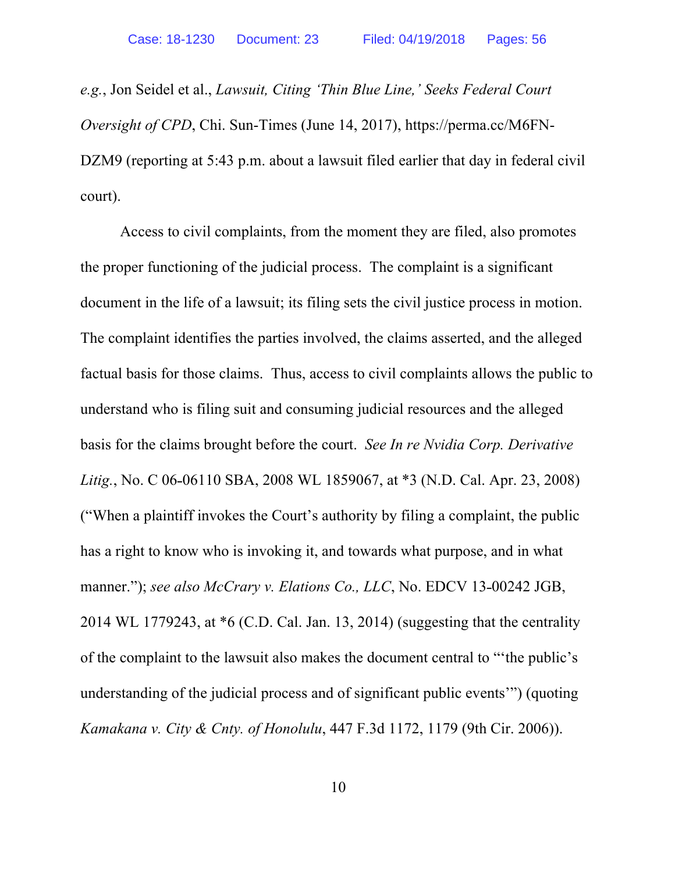*e.g.*, Jon Seidel et al., *Lawsuit, Citing 'Thin Blue Line,' Seeks Federal Court Oversight of CPD*, Chi. Sun-Times (June 14, 2017), https://perma.cc/M6FN-DZM9 (reporting at 5:43 p.m. about a lawsuit filed earlier that day in federal civil court).

Access to civil complaints, from the moment they are filed, also promotes the proper functioning of the judicial process. The complaint is a significant document in the life of a lawsuit; its filing sets the civil justice process in motion. The complaint identifies the parties involved, the claims asserted, and the alleged factual basis for those claims. Thus, access to civil complaints allows the public to understand who is filing suit and consuming judicial resources and the alleged basis for the claims brought before the court. *See In re Nvidia Corp. Derivative Litig.*, No. C 06-06110 SBA, 2008 WL 1859067, at \*3 (N.D. Cal. Apr. 23, 2008) ("When a plaintiff invokes the Court's authority by filing a complaint, the public has a right to know who is invoking it, and towards what purpose, and in what manner."); *see also McCrary v. Elations Co., LLC*, No. EDCV 13-00242 JGB, 2014 WL 1779243, at \*6 (C.D. Cal. Jan. 13, 2014) (suggesting that the centrality of the complaint to the lawsuit also makes the document central to "'the public's understanding of the judicial process and of significant public events'") (quoting *Kamakana v. City & Cnty. of Honolulu*, 447 F.3d 1172, 1179 (9th Cir. 2006)).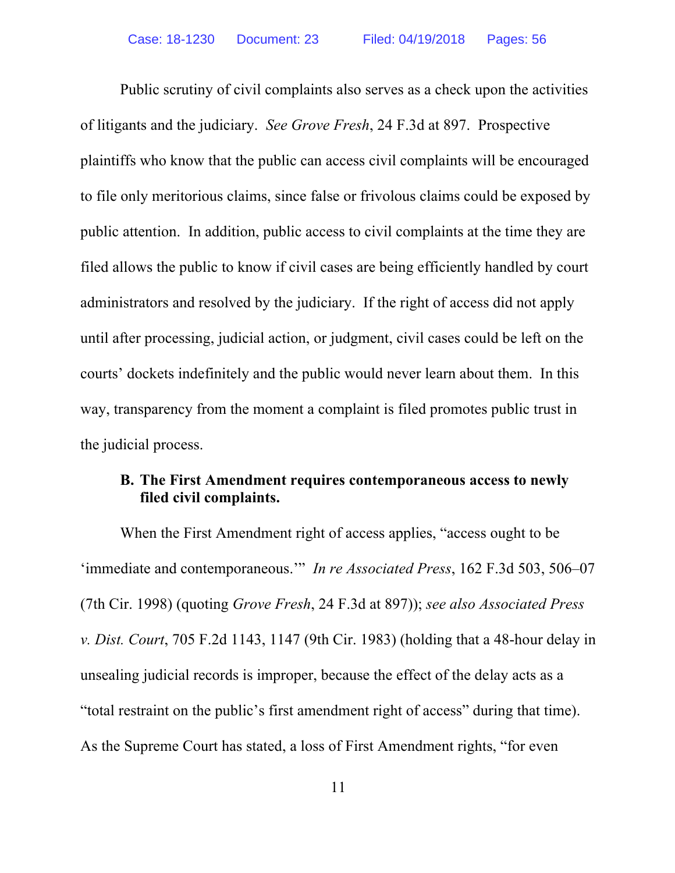Public scrutiny of civil complaints also serves as a check upon the activities of litigants and the judiciary. *See Grove Fresh*, 24 F.3d at 897. Prospective plaintiffs who know that the public can access civil complaints will be encouraged to file only meritorious claims, since false or frivolous claims could be exposed by public attention. In addition, public access to civil complaints at the time they are filed allows the public to know if civil cases are being efficiently handled by court administrators and resolved by the judiciary. If the right of access did not apply until after processing, judicial action, or judgment, civil cases could be left on the courts' dockets indefinitely and the public would never learn about them. In this way, transparency from the moment a complaint is filed promotes public trust in the judicial process.

### **B. The First Amendment requires contemporaneous access to newly filed civil complaints.**

When the First Amendment right of access applies, "access ought to be 'immediate and contemporaneous.'" *In re Associated Press*, 162 F.3d 503, 506–07 (7th Cir. 1998) (quoting *Grove Fresh*, 24 F.3d at 897)); *see also Associated Press v. Dist. Court*, 705 F.2d 1143, 1147 (9th Cir. 1983) (holding that a 48-hour delay in unsealing judicial records is improper, because the effect of the delay acts as a "total restraint on the public's first amendment right of access" during that time). As the Supreme Court has stated, a loss of First Amendment rights, "for even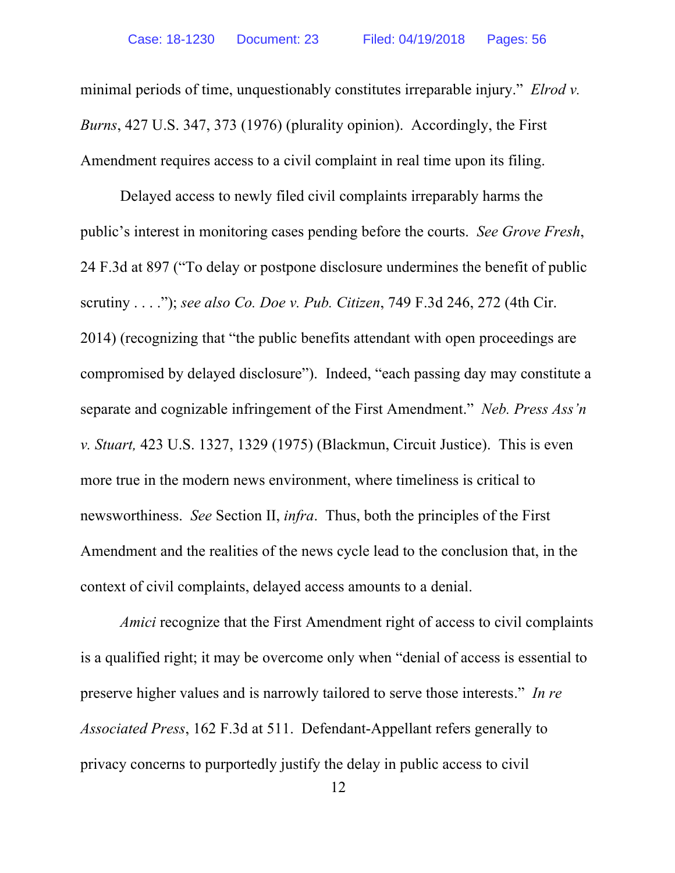minimal periods of time, unquestionably constitutes irreparable injury." *Elrod v. Burns*, 427 U.S. 347, 373 (1976) (plurality opinion). Accordingly, the First Amendment requires access to a civil complaint in real time upon its filing.

Delayed access to newly filed civil complaints irreparably harms the public's interest in monitoring cases pending before the courts. *See Grove Fresh*, 24 F.3d at 897 ("To delay or postpone disclosure undermines the benefit of public scrutiny . . . ."); *see also Co. Doe v. Pub. Citizen*, 749 F.3d 246, 272 (4th Cir. 2014) (recognizing that "the public benefits attendant with open proceedings are compromised by delayed disclosure"). Indeed, "each passing day may constitute a separate and cognizable infringement of the First Amendment." *Neb. Press Ass'n v. Stuart,* 423 U.S. 1327, 1329 (1975) (Blackmun, Circuit Justice). This is even more true in the modern news environment, where timeliness is critical to newsworthiness. *See* Section II, *infra*. Thus, both the principles of the First Amendment and the realities of the news cycle lead to the conclusion that, in the context of civil complaints, delayed access amounts to a denial.

*Amici* recognize that the First Amendment right of access to civil complaints is a qualified right; it may be overcome only when "denial of access is essential to preserve higher values and is narrowly tailored to serve those interests." *In re Associated Press*, 162 F.3d at 511. Defendant-Appellant refers generally to privacy concerns to purportedly justify the delay in public access to civil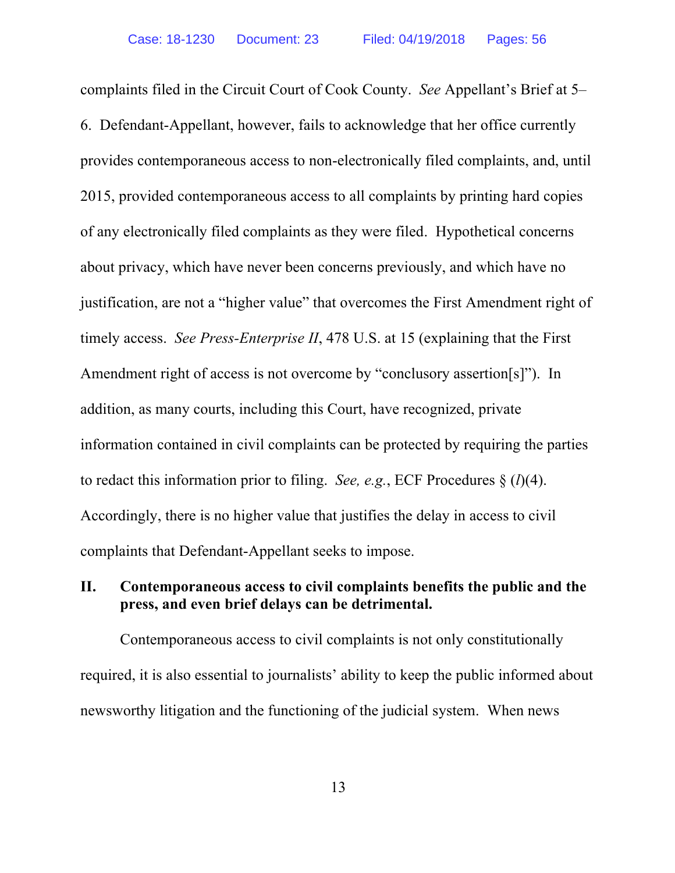complaints filed in the Circuit Court of Cook County. *See* Appellant's Brief at 5– 6. Defendant-Appellant, however, fails to acknowledge that her office currently provides contemporaneous access to non-electronically filed complaints, and, until 2015, provided contemporaneous access to all complaints by printing hard copies of any electronically filed complaints as they were filed. Hypothetical concerns about privacy, which have never been concerns previously, and which have no justification, are not a "higher value" that overcomes the First Amendment right of timely access. *See Press-Enterprise II*, 478 U.S. at 15 (explaining that the First Amendment right of access is not overcome by "conclusory assertion[s]"). In addition, as many courts, including this Court, have recognized, private information contained in civil complaints can be protected by requiring the parties to redact this information prior to filing. *See, e.g.*, ECF Procedures § (*l*)(4). Accordingly, there is no higher value that justifies the delay in access to civil complaints that Defendant-Appellant seeks to impose.

## **II. Contemporaneous access to civil complaints benefits the public and the press, and even brief delays can be detrimental.**

Contemporaneous access to civil complaints is not only constitutionally required, it is also essential to journalists' ability to keep the public informed about newsworthy litigation and the functioning of the judicial system. When news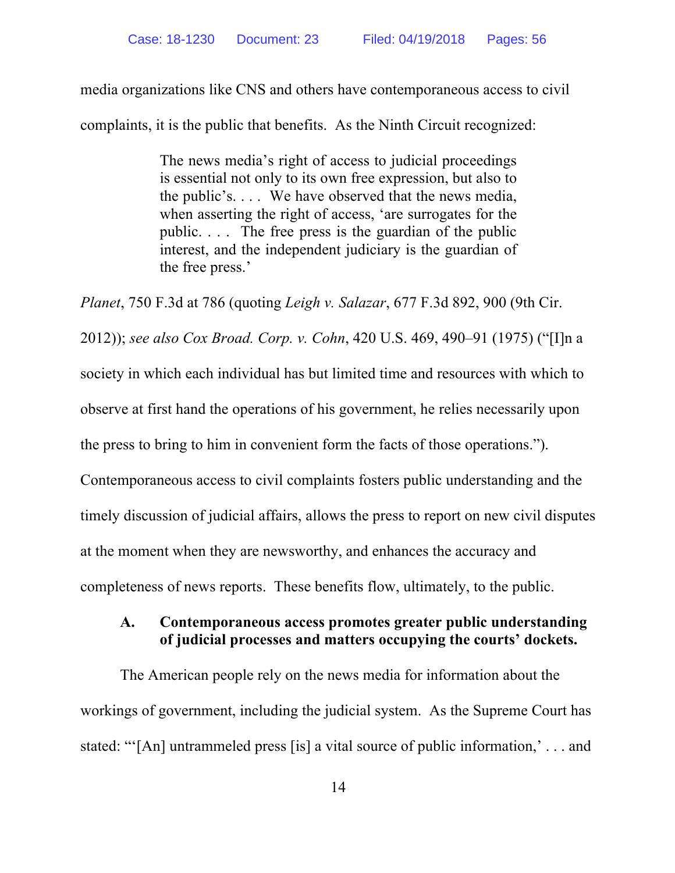media organizations like CNS and others have contemporaneous access to civil complaints, it is the public that benefits. As the Ninth Circuit recognized:

> The news media's right of access to judicial proceedings is essential not only to its own free expression, but also to the public's. . . . We have observed that the news media, when asserting the right of access, 'are surrogates for the public. . . . The free press is the guardian of the public interest, and the independent judiciary is the guardian of the free press.'

*Planet*, 750 F.3d at 786 (quoting *Leigh v. Salazar*, 677 F.3d 892, 900 (9th Cir. 2012)); *see also Cox Broad. Corp. v. Cohn*, 420 U.S. 469, 490–91 (1975) ("[I]n a society in which each individual has but limited time and resources with which to observe at first hand the operations of his government, he relies necessarily upon the press to bring to him in convenient form the facts of those operations."). Contemporaneous access to civil complaints fosters public understanding and the timely discussion of judicial affairs, allows the press to report on new civil disputes at the moment when they are newsworthy, and enhances the accuracy and completeness of news reports. These benefits flow, ultimately, to the public.

#### **A. Contemporaneous access promotes greater public understanding of judicial processes and matters occupying the courts' dockets.**

The American people rely on the news media for information about the workings of government, including the judicial system. As the Supreme Court has stated: "'[An] untrammeled press [is] a vital source of public information,' . . . and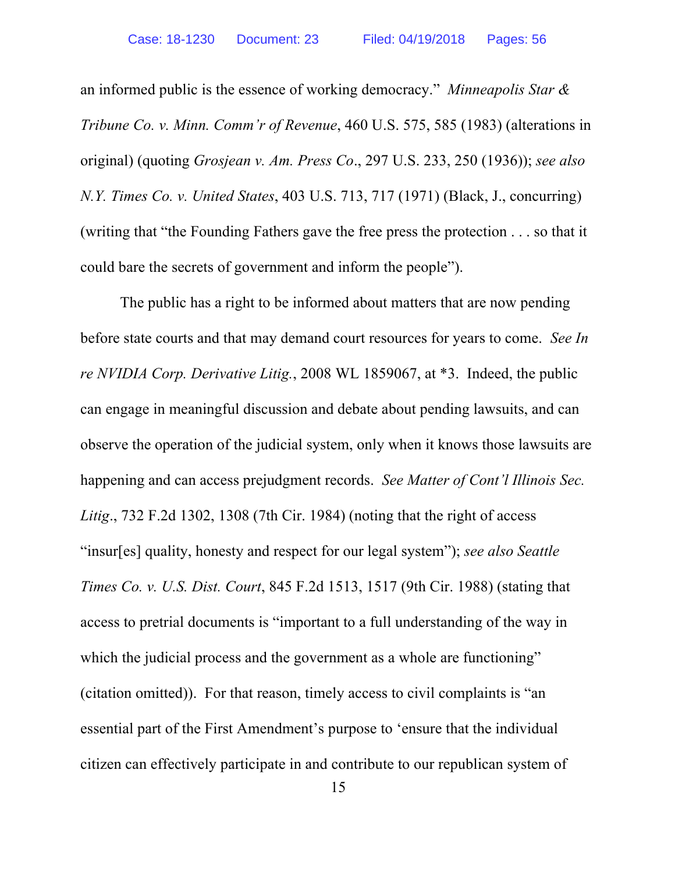an informed public is the essence of working democracy." *Minneapolis Star & Tribune Co. v. Minn. Comm'r of Revenue*, 460 U.S. 575, 585 (1983) (alterations in original) (quoting *Grosjean v. Am. Press Co*., 297 U.S. 233, 250 (1936)); *see also N.Y. Times Co. v. United States*, 403 U.S. 713, 717 (1971) (Black, J., concurring) (writing that "the Founding Fathers gave the free press the protection . . . so that it could bare the secrets of government and inform the people").

The public has a right to be informed about matters that are now pending before state courts and that may demand court resources for years to come. *See In re NVIDIA Corp. Derivative Litig.*, 2008 WL 1859067, at \*3. Indeed, the public can engage in meaningful discussion and debate about pending lawsuits, and can observe the operation of the judicial system, only when it knows those lawsuits are happening and can access prejudgment records. *See Matter of Cont'l Illinois Sec. Litig*., 732 F.2d 1302, 1308 (7th Cir. 1984) (noting that the right of access "insur[es] quality, honesty and respect for our legal system"); *see also Seattle Times Co. v. U.S. Dist. Court*, 845 F.2d 1513, 1517 (9th Cir. 1988) (stating that access to pretrial documents is "important to a full understanding of the way in which the judicial process and the government as a whole are functioning" (citation omitted)). For that reason, timely access to civil complaints is "an essential part of the First Amendment's purpose to 'ensure that the individual citizen can effectively participate in and contribute to our republican system of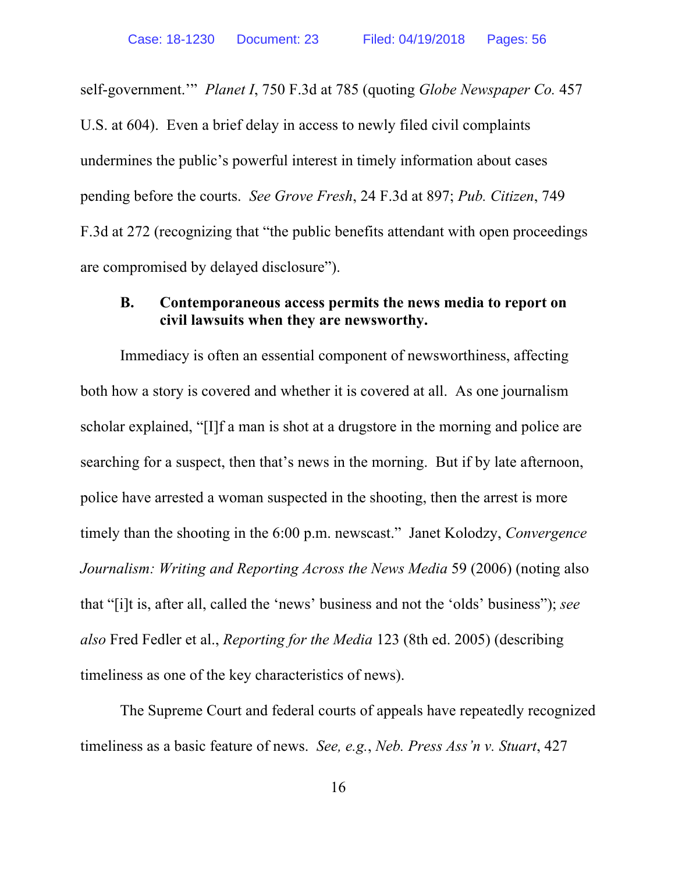self-government.'" *Planet I*, 750 F.3d at 785 (quoting *Globe Newspaper Co.* 457 U.S. at 604). Even a brief delay in access to newly filed civil complaints undermines the public's powerful interest in timely information about cases pending before the courts. *See Grove Fresh*, 24 F.3d at 897; *Pub. Citizen*, 749 F.3d at 272 (recognizing that "the public benefits attendant with open proceedings are compromised by delayed disclosure").

#### **B. Contemporaneous access permits the news media to report on civil lawsuits when they are newsworthy.**

Immediacy is often an essential component of newsworthiness, affecting both how a story is covered and whether it is covered at all. As one journalism scholar explained, "[I]f a man is shot at a drugstore in the morning and police are searching for a suspect, then that's news in the morning. But if by late afternoon, police have arrested a woman suspected in the shooting, then the arrest is more timely than the shooting in the 6:00 p.m. newscast." Janet Kolodzy, *Convergence Journalism: Writing and Reporting Across the News Media* 59 (2006) (noting also that "[i]t is, after all, called the 'news' business and not the 'olds' business"); *see also* Fred Fedler et al., *Reporting for the Media* 123 (8th ed. 2005) (describing timeliness as one of the key characteristics of news).

The Supreme Court and federal courts of appeals have repeatedly recognized timeliness as a basic feature of news. *See, e.g.*, *Neb. Press Ass'n v. Stuart*, 427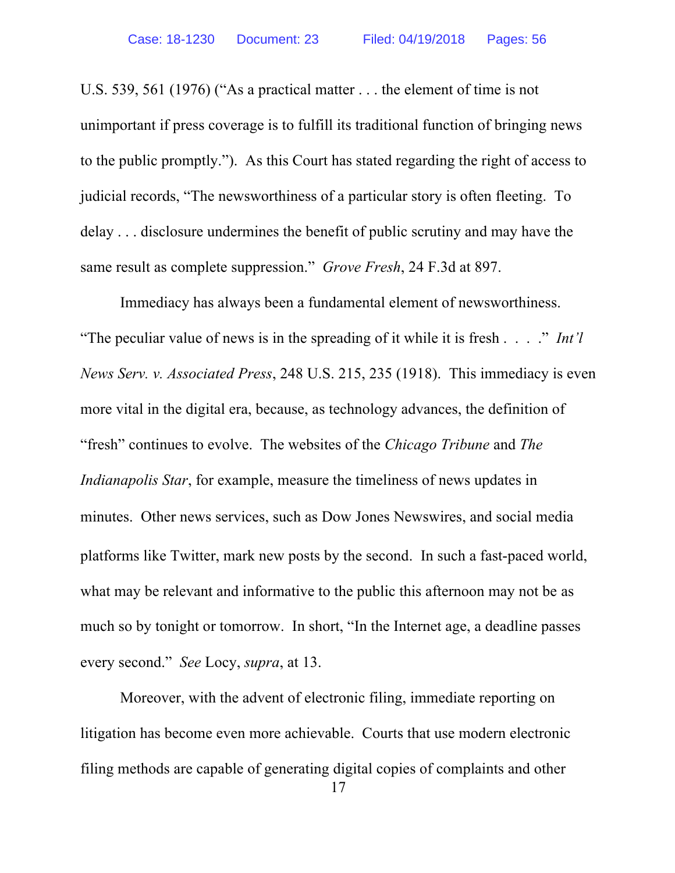U.S. 539, 561 (1976) ("As a practical matter . . . the element of time is not unimportant if press coverage is to fulfill its traditional function of bringing news to the public promptly."). As this Court has stated regarding the right of access to judicial records, "The newsworthiness of a particular story is often fleeting. To delay . . . disclosure undermines the benefit of public scrutiny and may have the same result as complete suppression." *Grove Fresh*, 24 F.3d at 897.

Immediacy has always been a fundamental element of newsworthiness. "The peculiar value of news is in the spreading of it while it is fresh . . . ." *Int'l News Serv. v. Associated Press*, 248 U.S. 215, 235 (1918). This immediacy is even more vital in the digital era, because, as technology advances, the definition of "fresh" continues to evolve. The websites of the *Chicago Tribune* and *The Indianapolis Star*, for example, measure the timeliness of news updates in minutes. Other news services, such as Dow Jones Newswires, and social media platforms like Twitter, mark new posts by the second. In such a fast-paced world, what may be relevant and informative to the public this afternoon may not be as much so by tonight or tomorrow. In short, "In the Internet age, a deadline passes every second." *See* Locy, *supra*, at 13.

Moreover, with the advent of electronic filing, immediate reporting on litigation has become even more achievable. Courts that use modern electronic filing methods are capable of generating digital copies of complaints and other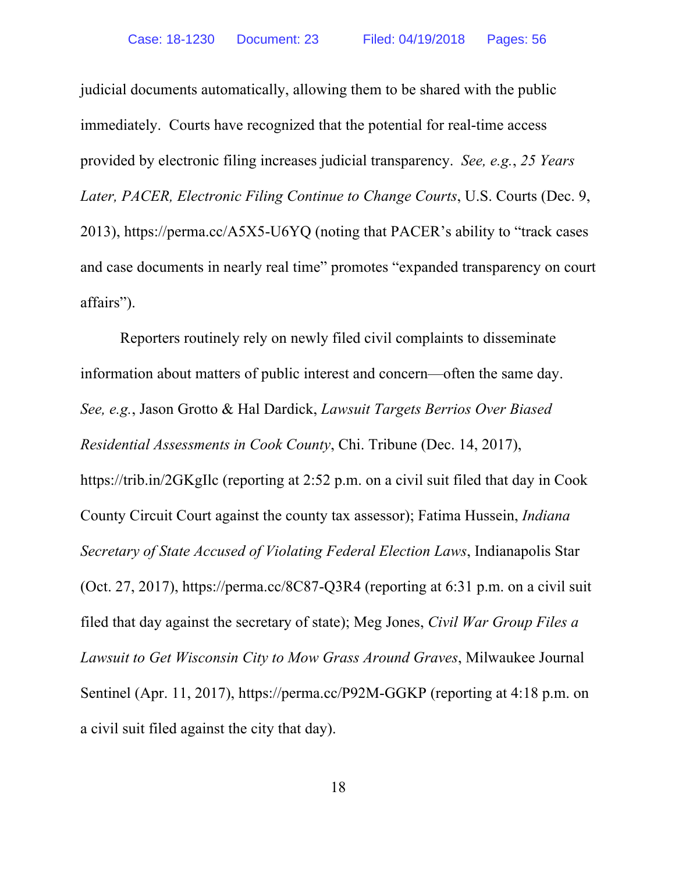judicial documents automatically, allowing them to be shared with the public immediately. Courts have recognized that the potential for real-time access provided by electronic filing increases judicial transparency. *See, e.g.*, *25 Years Later, PACER, Electronic Filing Continue to Change Courts*, U.S. Courts (Dec. 9, 2013), https://perma.cc/A5X5-U6YQ (noting that PACER's ability to "track cases and case documents in nearly real time" promotes "expanded transparency on court affairs").

Reporters routinely rely on newly filed civil complaints to disseminate information about matters of public interest and concern—often the same day. *See, e.g.*, Jason Grotto & Hal Dardick, *Lawsuit Targets Berrios Over Biased Residential Assessments in Cook County*, Chi. Tribune (Dec. 14, 2017), https://trib.in/2GKgIlc (reporting at 2:52 p.m. on a civil suit filed that day in Cook County Circuit Court against the county tax assessor); Fatima Hussein, *Indiana Secretary of State Accused of Violating Federal Election Laws*, Indianapolis Star (Oct. 27, 2017), https://perma.cc/8C87-Q3R4 (reporting at 6:31 p.m. on a civil suit filed that day against the secretary of state); Meg Jones, *Civil War Group Files a Lawsuit to Get Wisconsin City to Mow Grass Around Graves*, Milwaukee Journal Sentinel (Apr. 11, 2017), https://perma.cc/P92M-GGKP (reporting at 4:18 p.m. on a civil suit filed against the city that day).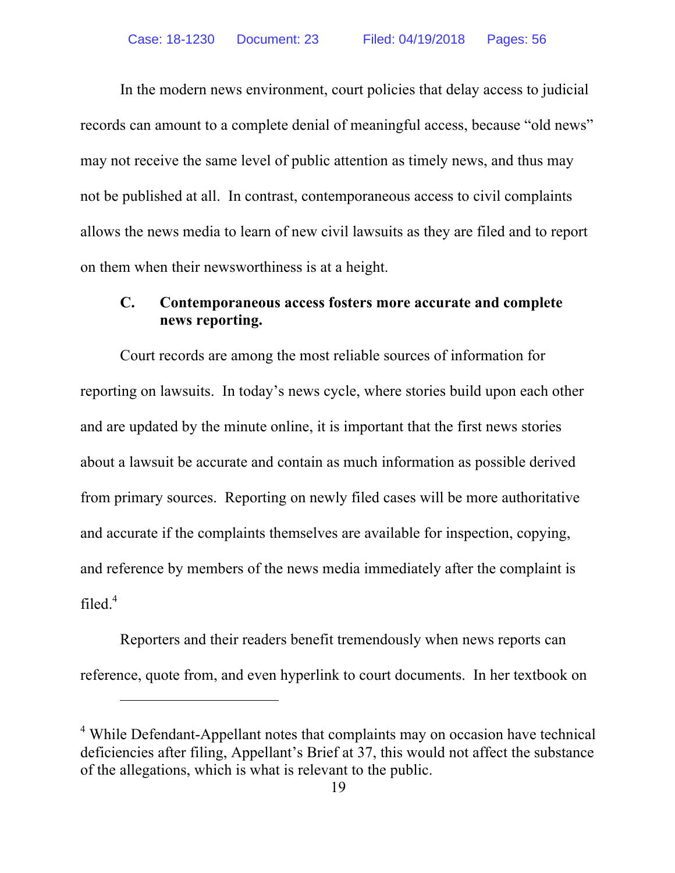In the modern news environment, court policies that delay access to judicial records can amount to a complete denial of meaningful access, because "old news" may not receive the same level of public attention as timely news, and thus may not be published at all. In contrast, contemporaneous access to civil complaints allows the news media to learn of new civil lawsuits as they are filed and to report on them when their newsworthiness is at a height.

### **C. Contemporaneous access fosters more accurate and complete news reporting.**

Court records are among the most reliable sources of information for reporting on lawsuits. In today's news cycle, where stories build upon each other and are updated by the minute online, it is important that the first news stories about a lawsuit be accurate and contain as much information as possible derived from primary sources. Reporting on newly filed cases will be more authoritative and accurate if the complaints themselves are available for inspection, copying, and reference by members of the news media immediately after the complaint is filed. 4

Reporters and their readers benefit tremendously when news reports can reference, quote from, and even hyperlink to court documents. In her textbook on

<u>.</u>

<sup>4</sup> While Defendant-Appellant notes that complaints may on occasion have technical deficiencies after filing, Appellant's Brief at 37, this would not affect the substance of the allegations, which is what is relevant to the public.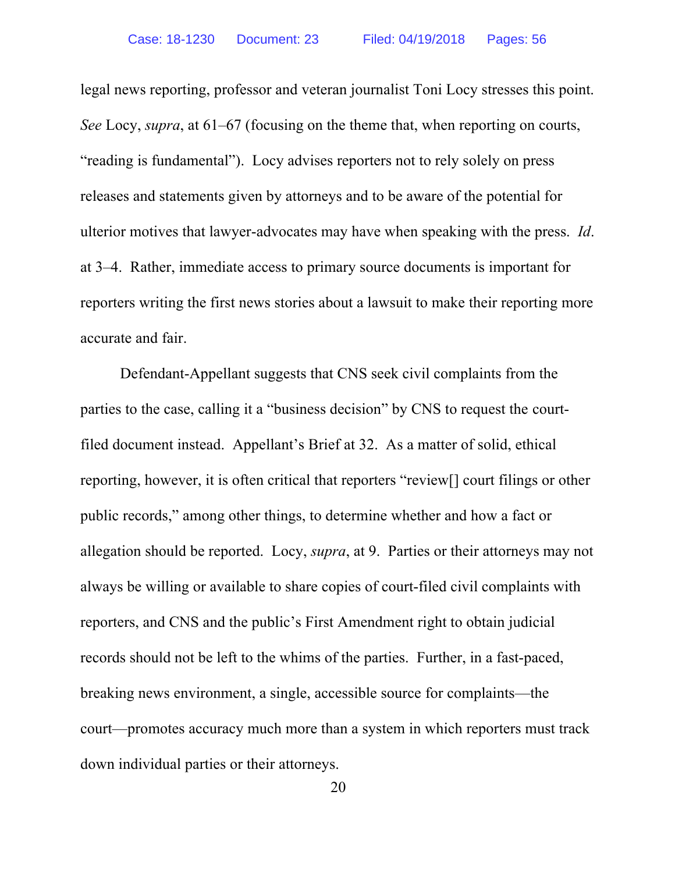legal news reporting, professor and veteran journalist Toni Locy stresses this point. *See* Locy, *supra*, at 61–67 (focusing on the theme that, when reporting on courts, "reading is fundamental"). Locy advises reporters not to rely solely on press releases and statements given by attorneys and to be aware of the potential for ulterior motives that lawyer-advocates may have when speaking with the press. *Id*. at 3–4. Rather, immediate access to primary source documents is important for reporters writing the first news stories about a lawsuit to make their reporting more accurate and fair.

Defendant-Appellant suggests that CNS seek civil complaints from the parties to the case, calling it a "business decision" by CNS to request the courtfiled document instead. Appellant's Brief at 32. As a matter of solid, ethical reporting, however, it is often critical that reporters "review[] court filings or other public records," among other things, to determine whether and how a fact or allegation should be reported. Locy, *supra*, at 9. Parties or their attorneys may not always be willing or available to share copies of court-filed civil complaints with reporters, and CNS and the public's First Amendment right to obtain judicial records should not be left to the whims of the parties. Further, in a fast-paced, breaking news environment, a single, accessible source for complaints—the court—promotes accuracy much more than a system in which reporters must track down individual parties or their attorneys.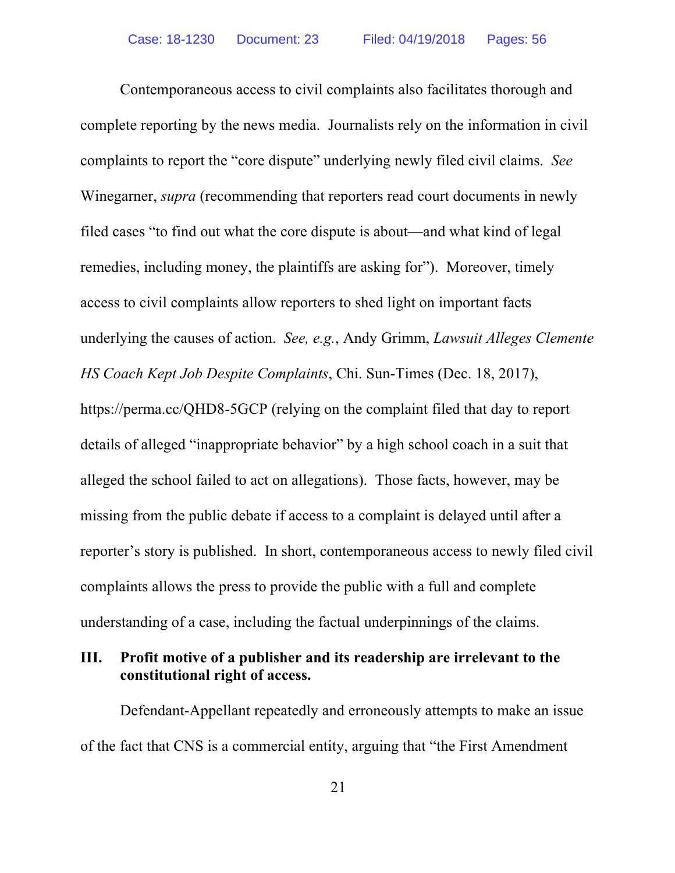Contemporaneous access to civil complaints also facilitates thorough and complete reporting by the news media. Journalists rely on the information in civil complaints to report the "core dispute" underlying newly filed civil claims. *See*  Winegarner, *supra* (recommending that reporters read court documents in newly filed cases "to find out what the core dispute is about—and what kind of legal remedies, including money, the plaintiffs are asking for"). Moreover, timely access to civil complaints allow reporters to shed light on important facts underlying the causes of action. *See, e.g.*, Andy Grimm, *Lawsuit Alleges Clemente HS Coach Kept Job Despite Complaints*, Chi. Sun-Times (Dec. 18, 2017), https://perma.cc/QHD8-5GCP (relying on the complaint filed that day to report details of alleged "inappropriate behavior" by a high school coach in a suit that alleged the school failed to act on allegations). Those facts, however, may be missing from the public debate if access to a complaint is delayed until after a reporter's story is published. In short, contemporaneous access to newly filed civil complaints allows the press to provide the public with a full and complete understanding of a case, including the factual underpinnings of the claims.

## **III. Profit motive of a publisher and its readership are irrelevant to the constitutional right of access.**

Defendant-Appellant repeatedly and erroneously attempts to make an issue of the fact that CNS is a commercial entity, arguing that "the First Amendment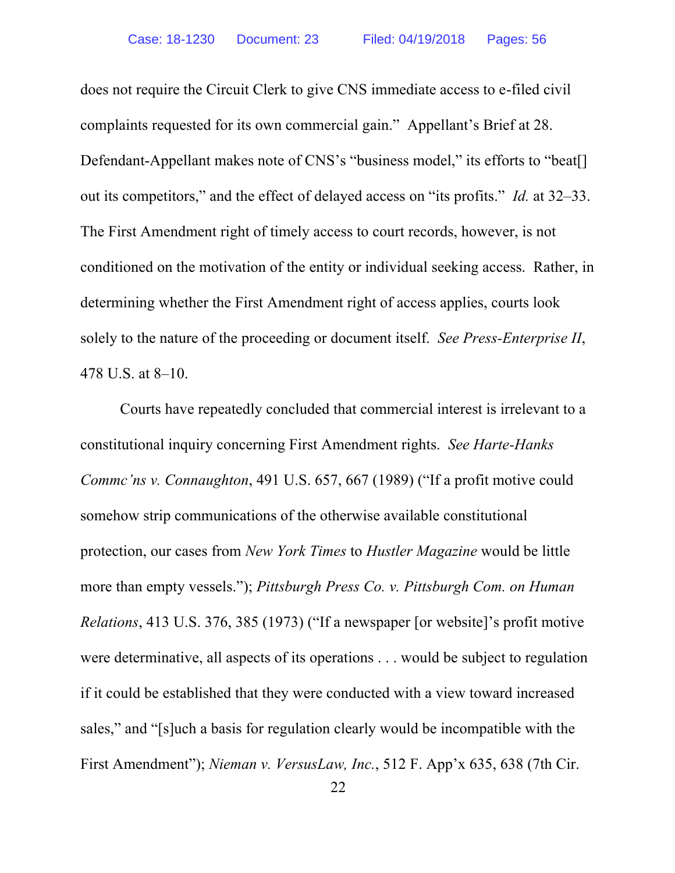does not require the Circuit Clerk to give CNS immediate access to e-filed civil complaints requested for its own commercial gain." Appellant's Brief at 28. Defendant-Appellant makes note of CNS's "business model," its efforts to "beat[] out its competitors," and the effect of delayed access on "its profits." *Id.* at 32–33. The First Amendment right of timely access to court records, however, is not conditioned on the motivation of the entity or individual seeking access. Rather, in determining whether the First Amendment right of access applies, courts look solely to the nature of the proceeding or document itself. *See Press-Enterprise II*, 478 U.S. at 8–10.

Courts have repeatedly concluded that commercial interest is irrelevant to a constitutional inquiry concerning First Amendment rights. *See Harte-Hanks Commc'ns v. Connaughton*, 491 U.S. 657, 667 (1989) ("If a profit motive could somehow strip communications of the otherwise available constitutional protection, our cases from *New York Times* to *Hustler Magazine* would be little more than empty vessels."); *Pittsburgh Press Co. v. Pittsburgh Com. on Human Relations*, 413 U.S. 376, 385 (1973) ("If a newspaper [or website]'s profit motive were determinative, all aspects of its operations . . . would be subject to regulation if it could be established that they were conducted with a view toward increased sales," and "[s]uch a basis for regulation clearly would be incompatible with the First Amendment"); *Nieman v. VersusLaw, Inc.*, 512 F. App'x 635, 638 (7th Cir.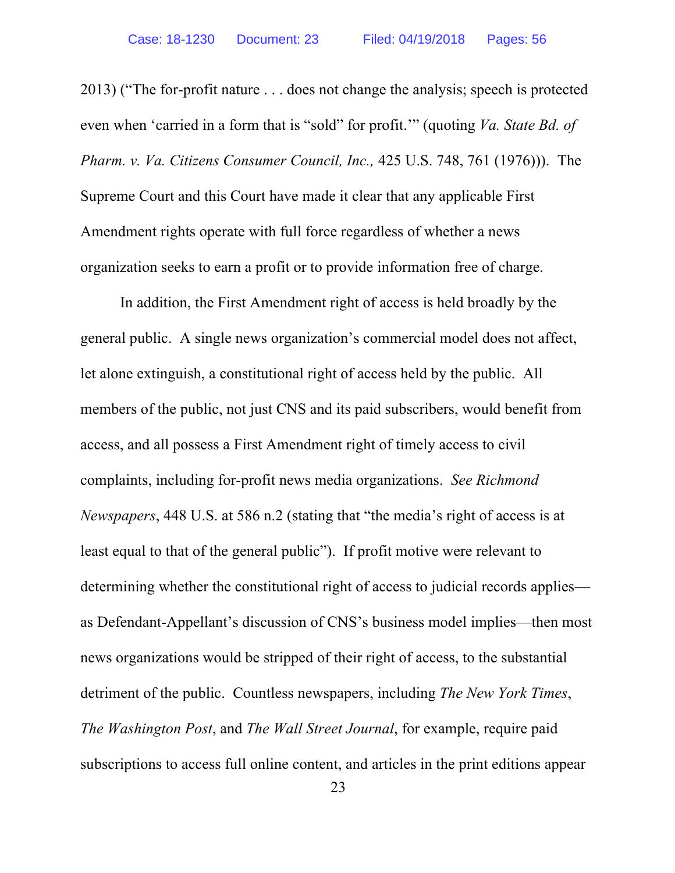2013) ("The for-profit nature . . . does not change the analysis; speech is protected even when 'carried in a form that is "sold" for profit.'" (quoting *Va. State Bd. of Pharm. v. Va. Citizens Consumer Council, Inc.,* 425 U.S. 748, 761 (1976))). The Supreme Court and this Court have made it clear that any applicable First Amendment rights operate with full force regardless of whether a news organization seeks to earn a profit or to provide information free of charge.

In addition, the First Amendment right of access is held broadly by the general public. A single news organization's commercial model does not affect, let alone extinguish, a constitutional right of access held by the public. All members of the public, not just CNS and its paid subscribers, would benefit from access, and all possess a First Amendment right of timely access to civil complaints, including for-profit news media organizations. *See Richmond Newspapers*, 448 U.S. at 586 n.2 (stating that "the media's right of access is at least equal to that of the general public"). If profit motive were relevant to determining whether the constitutional right of access to judicial records applies as Defendant-Appellant's discussion of CNS's business model implies—then most news organizations would be stripped of their right of access, to the substantial detriment of the public. Countless newspapers, including *The New York Times*, *The Washington Post*, and *The Wall Street Journal*, for example, require paid subscriptions to access full online content, and articles in the print editions appear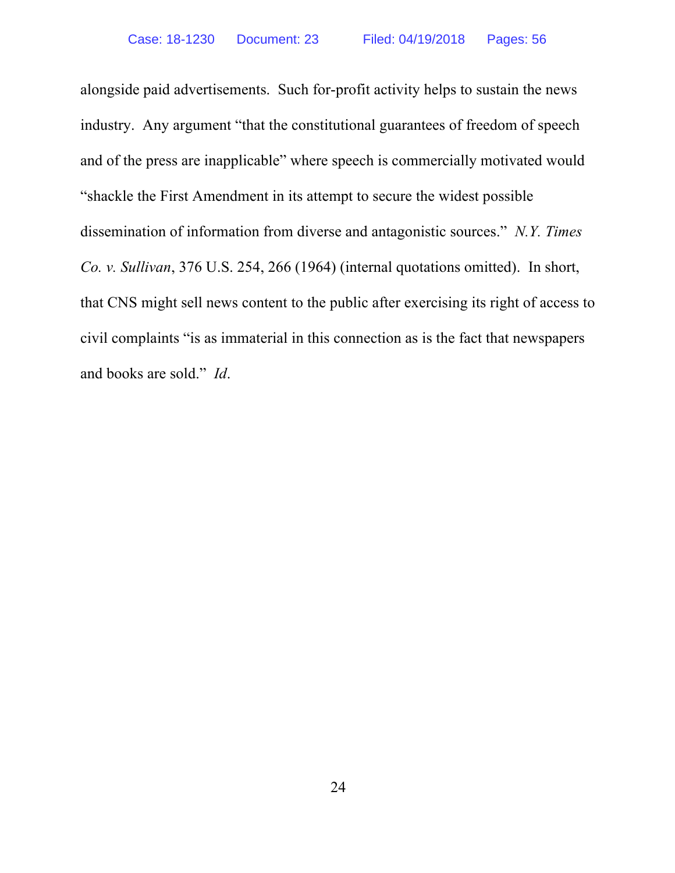alongside paid advertisements. Such for-profit activity helps to sustain the news industry. Any argument "that the constitutional guarantees of freedom of speech and of the press are inapplicable" where speech is commercially motivated would "shackle the First Amendment in its attempt to secure the widest possible dissemination of information from diverse and antagonistic sources." *N.Y. Times Co. v. Sullivan*, 376 U.S. 254, 266 (1964) (internal quotations omitted). In short, that CNS might sell news content to the public after exercising its right of access to civil complaints "is as immaterial in this connection as is the fact that newspapers and books are sold." *Id*.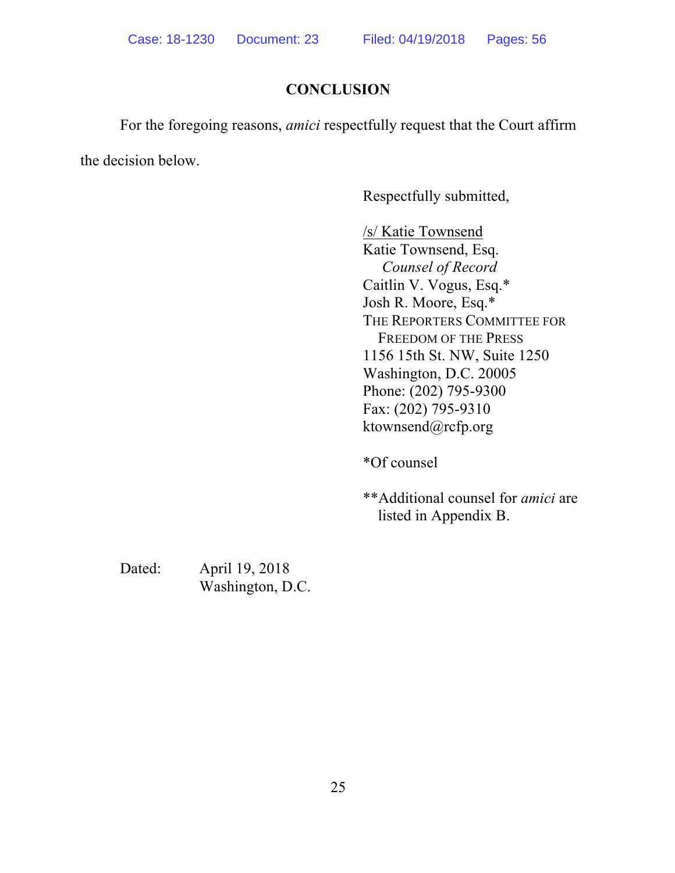## **CONCLUSION**

For the foregoing reasons, *amici* respectfully request that the Court affirm

the decision below.

Respectfully submitted,

/s/ Katie Townsend Katie Townsend, Esq. *Counsel of Record* Caitlin V. Vogus, Esq.\* Josh R. Moore, Esq.\* THE REPORTERS COMMITTEE FOR FREEDOM OF THE PRESS 1156 15th St. NW, Suite 1250 Washington, D.C. 20005 Phone: (202) 795-9300 Fax: (202) 795-9310 ktownsend@rcfp.org

\*Of counsel

\*\*Additional counsel for *amici* are listed in Appendix B.

Dated: April 19, 2018 Washington, D.C.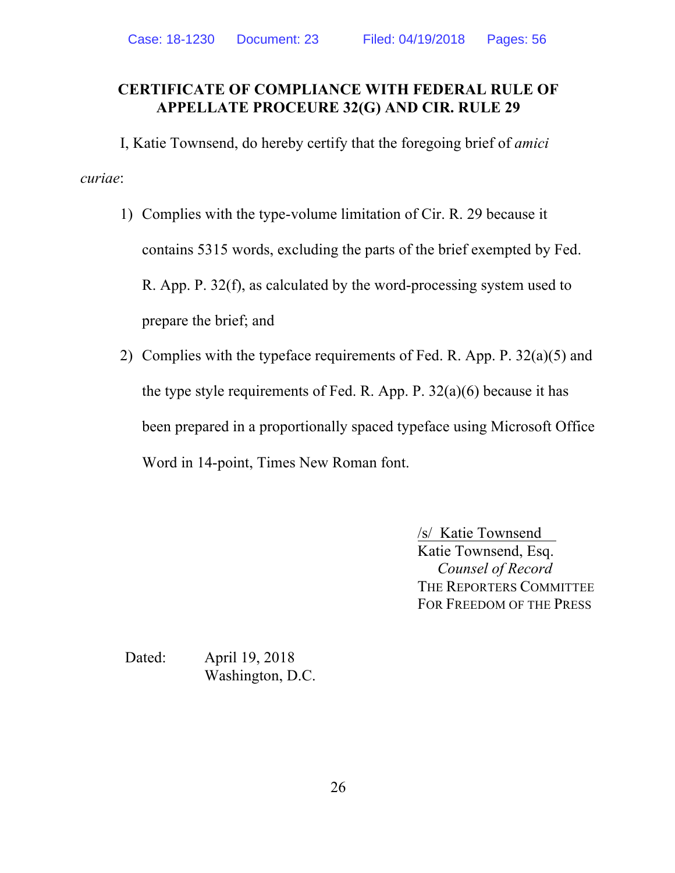### **CERTIFICATE OF COMPLIANCE WITH FEDERAL RULE OF APPELLATE PROCEURE 32(G) AND CIR. RULE 29**

I, Katie Townsend, do hereby certify that the foregoing brief of *amici curiae*:

- 1) Complies with the type-volume limitation of Cir. R. 29 because it contains 5315 words, excluding the parts of the brief exempted by Fed. R. App. P. 32(f), as calculated by the word-processing system used to prepare the brief; and
- 2) Complies with the typeface requirements of Fed. R. App. P. 32(a)(5) and the type style requirements of Fed. R. App. P.  $32(a)(6)$  because it has been prepared in a proportionally spaced typeface using Microsoft Office Word in 14-point, Times New Roman font.

/s/ Katie Townsend Katie Townsend, Esq. *Counsel of Record* THE REPORTERS COMMITTEE FOR FREEDOM OF THE PRESS

Dated: April 19, 2018 Washington, D.C.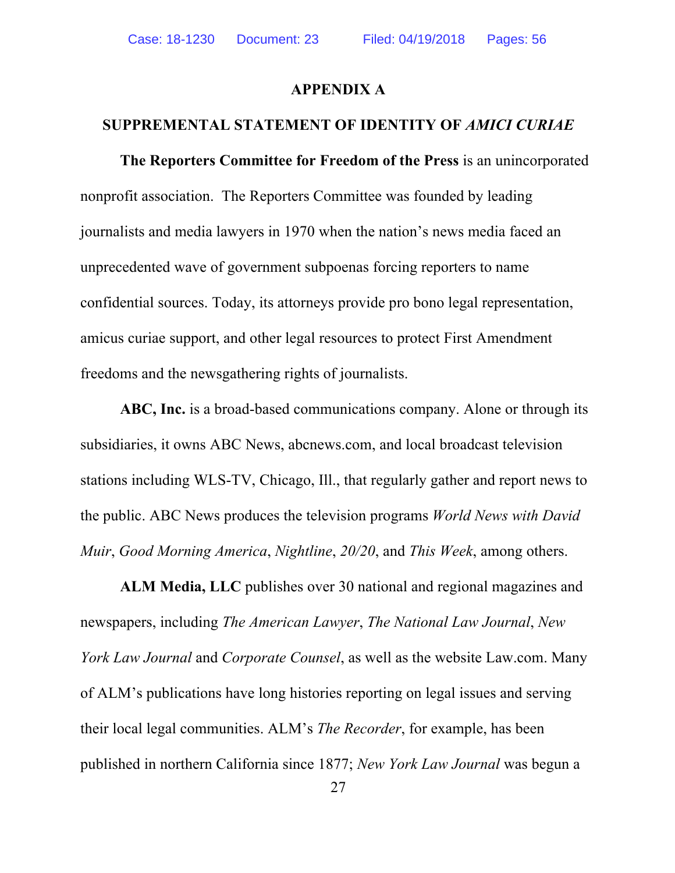#### **APPENDIX A**

#### **SUPPREMENTAL STATEMENT OF IDENTITY OF** *AMICI CURIAE*

**The Reporters Committee for Freedom of the Press** is an unincorporated nonprofit association. The Reporters Committee was founded by leading journalists and media lawyers in 1970 when the nation's news media faced an unprecedented wave of government subpoenas forcing reporters to name confidential sources. Today, its attorneys provide pro bono legal representation, amicus curiae support, and other legal resources to protect First Amendment freedoms and the newsgathering rights of journalists.

**ABC, Inc.** is a broad-based communications company. Alone or through its subsidiaries, it owns ABC News, abcnews.com, and local broadcast television stations including WLS-TV, Chicago, Ill., that regularly gather and report news to the public. ABC News produces the television programs *World News with David Muir*, *Good Morning America*, *Nightline*, *20/20*, and *This Week*, among others.

**ALM Media, LLC** publishes over 30 national and regional magazines and newspapers, including *The American Lawyer*, *The National Law Journal*, *New York Law Journal* and *Corporate Counsel*, as well as the website Law.com. Many of ALM's publications have long histories reporting on legal issues and serving their local legal communities. ALM's *The Recorder*, for example, has been published in northern California since 1877; *New York Law Journal* was begun a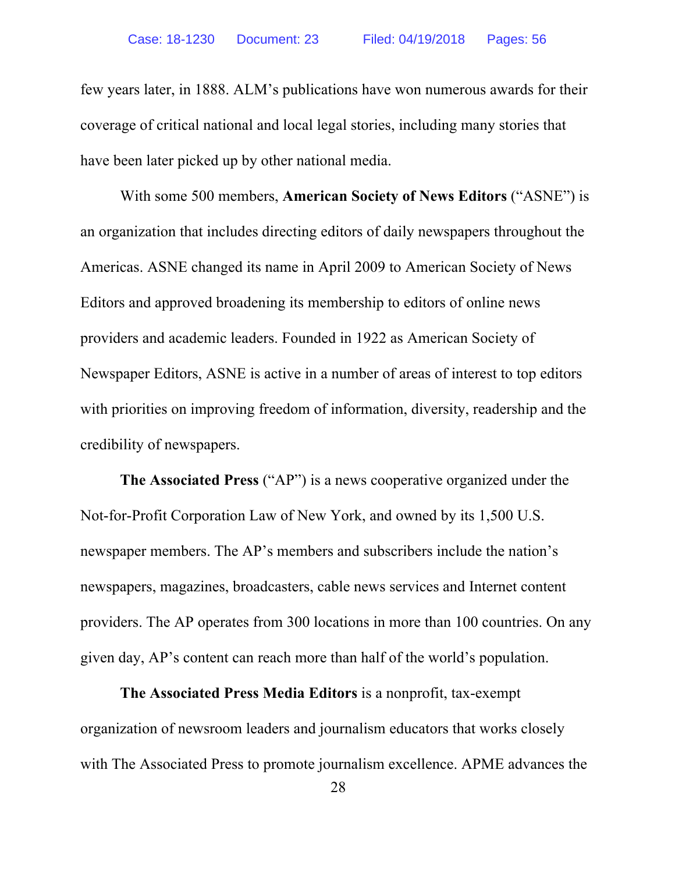few years later, in 1888. ALM's publications have won numerous awards for their coverage of critical national and local legal stories, including many stories that have been later picked up by other national media.

With some 500 members, **American Society of News Editors** ("ASNE") is an organization that includes directing editors of daily newspapers throughout the Americas. ASNE changed its name in April 2009 to American Society of News Editors and approved broadening its membership to editors of online news providers and academic leaders. Founded in 1922 as American Society of Newspaper Editors, ASNE is active in a number of areas of interest to top editors with priorities on improving freedom of information, diversity, readership and the credibility of newspapers.

**The Associated Press** ("AP") is a news cooperative organized under the Not-for-Profit Corporation Law of New York, and owned by its 1,500 U.S. newspaper members. The AP's members and subscribers include the nation's newspapers, magazines, broadcasters, cable news services and Internet content providers. The AP operates from 300 locations in more than 100 countries. On any given day, AP's content can reach more than half of the world's population.

**The Associated Press Media Editors** is a nonprofit, tax-exempt organization of newsroom leaders and journalism educators that works closely with The Associated Press to promote journalism excellence. APME advances the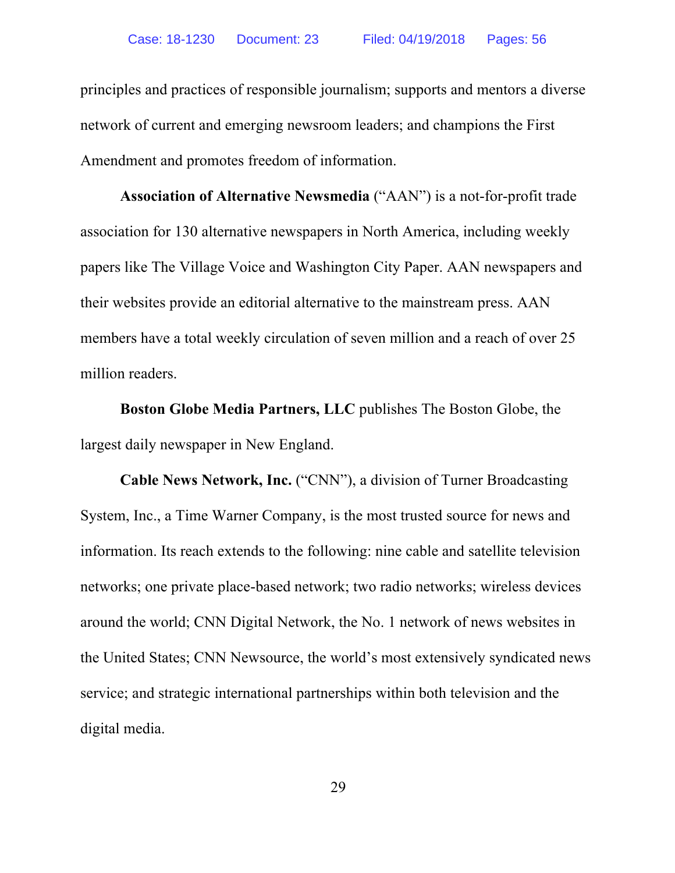principles and practices of responsible journalism; supports and mentors a diverse network of current and emerging newsroom leaders; and champions the First Amendment and promotes freedom of information.

**Association of Alternative Newsmedia** ("AAN") is a not-for-profit trade association for 130 alternative newspapers in North America, including weekly papers like The Village Voice and Washington City Paper. AAN newspapers and their websites provide an editorial alternative to the mainstream press. AAN members have a total weekly circulation of seven million and a reach of over 25 million readers.

**Boston Globe Media Partners, LLC** publishes The Boston Globe, the largest daily newspaper in New England.

**Cable News Network, Inc.** ("CNN"), a division of Turner Broadcasting System, Inc., a Time Warner Company, is the most trusted source for news and information. Its reach extends to the following: nine cable and satellite television networks; one private place-based network; two radio networks; wireless devices around the world; CNN Digital Network, the No. 1 network of news websites in the United States; CNN Newsource, the world's most extensively syndicated news service; and strategic international partnerships within both television and the digital media.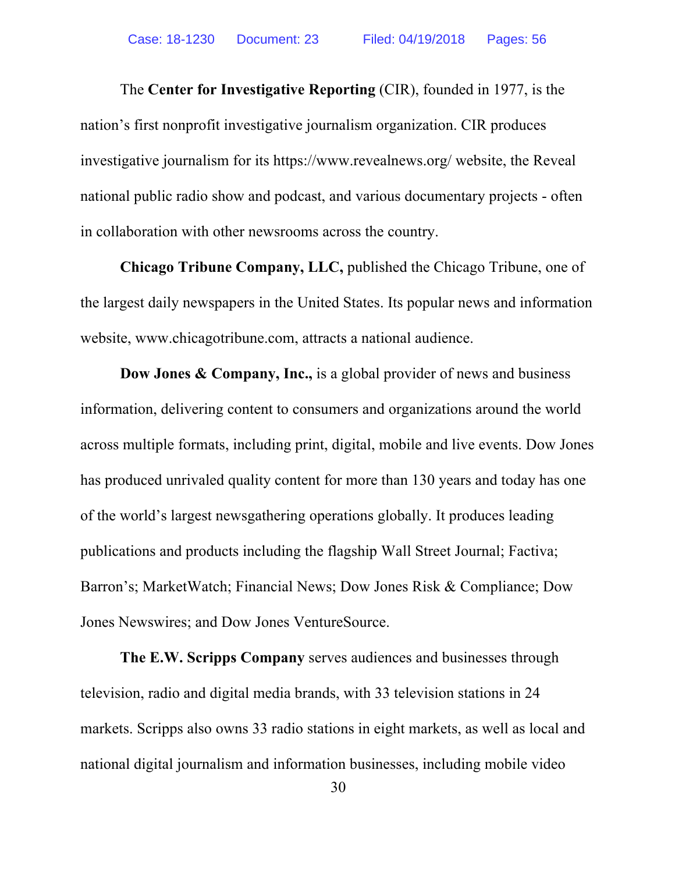The **Center for Investigative Reporting** (CIR), founded in 1977, is the nation's first nonprofit investigative journalism organization. CIR produces investigative journalism for its https://www.revealnews.org/ website, the Reveal national public radio show and podcast, and various documentary projects - often in collaboration with other newsrooms across the country.

**Chicago Tribune Company, LLC,** published the Chicago Tribune, one of the largest daily newspapers in the United States. Its popular news and information website, www.chicagotribune.com, attracts a national audience.

**Dow Jones & Company, Inc.,** is a global provider of news and business information, delivering content to consumers and organizations around the world across multiple formats, including print, digital, mobile and live events. Dow Jones has produced unrivaled quality content for more than 130 years and today has one of the world's largest newsgathering operations globally. It produces leading publications and products including the flagship Wall Street Journal; Factiva; Barron's; MarketWatch; Financial News; Dow Jones Risk & Compliance; Dow Jones Newswires; and Dow Jones VentureSource.

**The E.W. Scripps Company** serves audiences and businesses through television, radio and digital media brands, with 33 television stations in 24 markets. Scripps also owns 33 radio stations in eight markets, as well as local and national digital journalism and information businesses, including mobile video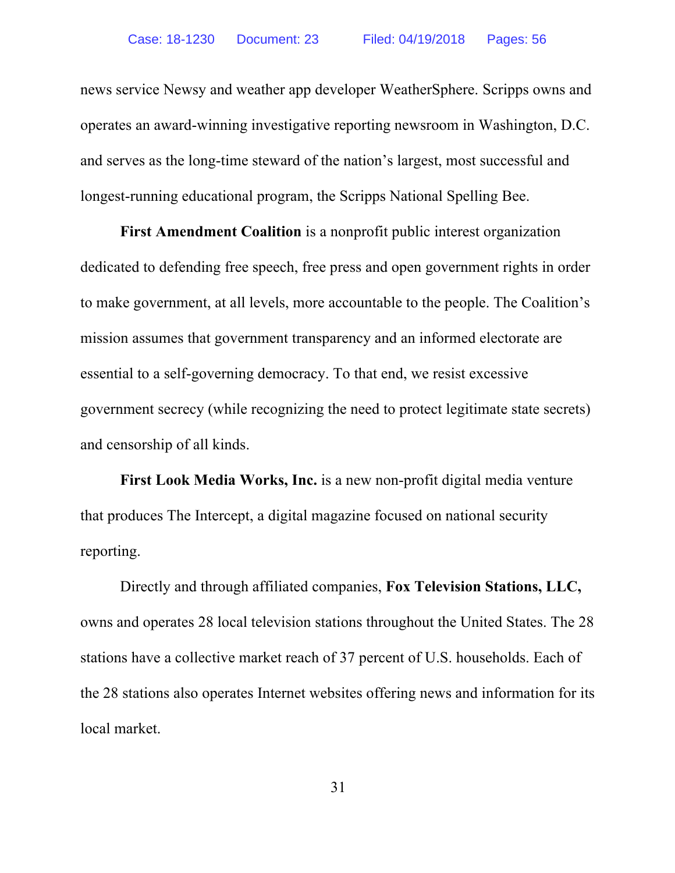news service Newsy and weather app developer WeatherSphere. Scripps owns and operates an award-winning investigative reporting newsroom in Washington, D.C. and serves as the long-time steward of the nation's largest, most successful and longest-running educational program, the Scripps National Spelling Bee.

**First Amendment Coalition** is a nonprofit public interest organization dedicated to defending free speech, free press and open government rights in order to make government, at all levels, more accountable to the people. The Coalition's mission assumes that government transparency and an informed electorate are essential to a self-governing democracy. To that end, we resist excessive government secrecy (while recognizing the need to protect legitimate state secrets) and censorship of all kinds.

**First Look Media Works, Inc.** is a new non-profit digital media venture that produces The Intercept, a digital magazine focused on national security reporting.

Directly and through affiliated companies, **Fox Television Stations, LLC,** owns and operates 28 local television stations throughout the United States. The 28 stations have a collective market reach of 37 percent of U.S. households. Each of the 28 stations also operates Internet websites offering news and information for its local market.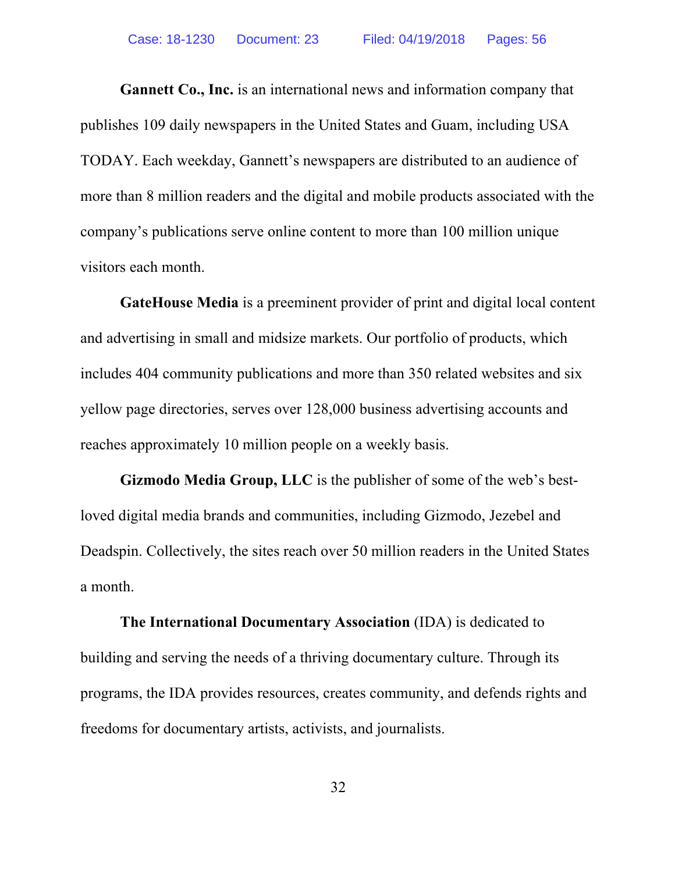**Gannett Co., Inc.** is an international news and information company that publishes 109 daily newspapers in the United States and Guam, including USA TODAY. Each weekday, Gannett's newspapers are distributed to an audience of more than 8 million readers and the digital and mobile products associated with the company's publications serve online content to more than 100 million unique visitors each month.

**GateHouse Media** is a preeminent provider of print and digital local content and advertising in small and midsize markets. Our portfolio of products, which includes 404 community publications and more than 350 related websites and six yellow page directories, serves over 128,000 business advertising accounts and reaches approximately 10 million people on a weekly basis.

**Gizmodo Media Group, LLC** is the publisher of some of the web's bestloved digital media brands and communities, including Gizmodo, Jezebel and Deadspin. Collectively, the sites reach over 50 million readers in the United States a month.

**The International Documentary Association** (IDA) is dedicated to building and serving the needs of a thriving documentary culture. Through its programs, the IDA provides resources, creates community, and defends rights and freedoms for documentary artists, activists, and journalists.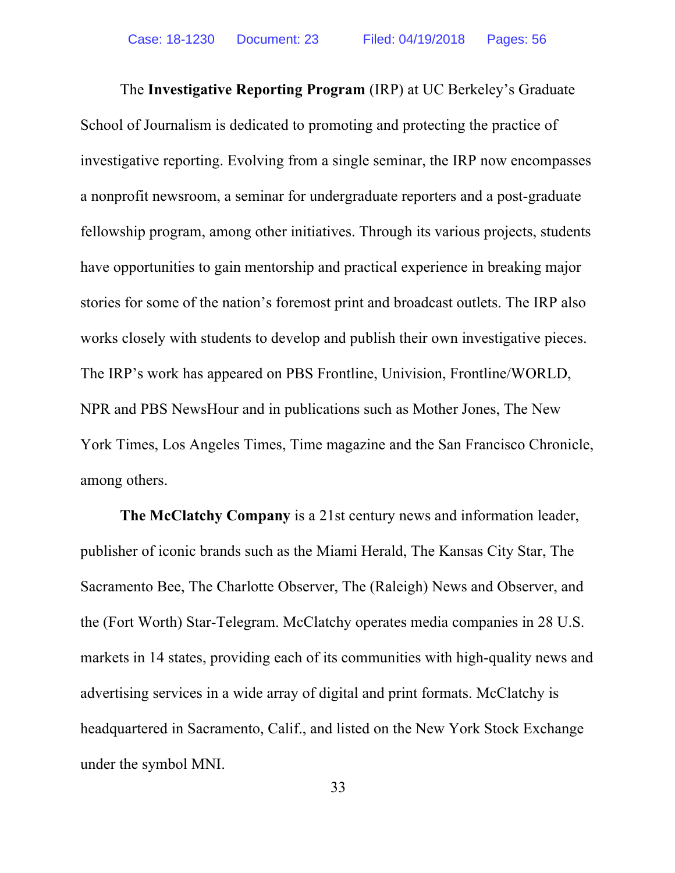The **Investigative Reporting Program** (IRP) at UC Berkeley's Graduate School of Journalism is dedicated to promoting and protecting the practice of investigative reporting. Evolving from a single seminar, the IRP now encompasses a nonprofit newsroom, a seminar for undergraduate reporters and a post-graduate fellowship program, among other initiatives. Through its various projects, students have opportunities to gain mentorship and practical experience in breaking major stories for some of the nation's foremost print and broadcast outlets. The IRP also works closely with students to develop and publish their own investigative pieces. The IRP's work has appeared on PBS Frontline, Univision, Frontline/WORLD, NPR and PBS NewsHour and in publications such as Mother Jones, The New York Times, Los Angeles Times, Time magazine and the San Francisco Chronicle, among others.

**The McClatchy Company** is a 21st century news and information leader, publisher of iconic brands such as the Miami Herald, The Kansas City Star, The Sacramento Bee, The Charlotte Observer, The (Raleigh) News and Observer, and the (Fort Worth) Star-Telegram. McClatchy operates media companies in 28 U.S. markets in 14 states, providing each of its communities with high-quality news and advertising services in a wide array of digital and print formats. McClatchy is headquartered in Sacramento, Calif., and listed on the New York Stock Exchange under the symbol MNI.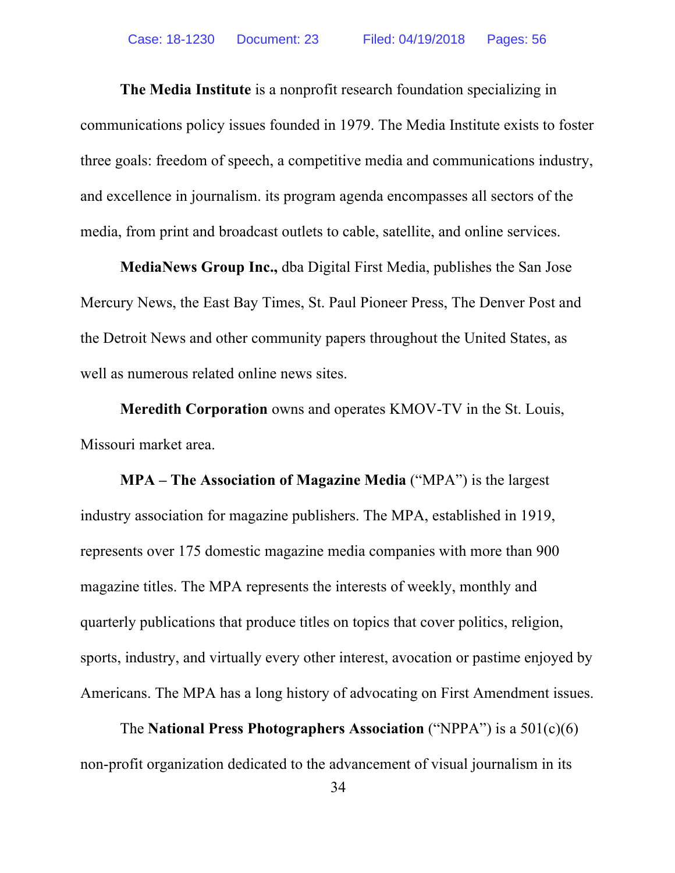**The Media Institute** is a nonprofit research foundation specializing in communications policy issues founded in 1979. The Media Institute exists to foster three goals: freedom of speech, a competitive media and communications industry, and excellence in journalism. its program agenda encompasses all sectors of the media, from print and broadcast outlets to cable, satellite, and online services.

**MediaNews Group Inc.,** dba Digital First Media, publishes the San Jose Mercury News, the East Bay Times, St. Paul Pioneer Press, The Denver Post and the Detroit News and other community papers throughout the United States, as well as numerous related online news sites.

**Meredith Corporation** owns and operates KMOV-TV in the St. Louis, Missouri market area.

**MPA – The Association of Magazine Media** ("MPA") is the largest industry association for magazine publishers. The MPA, established in 1919, represents over 175 domestic magazine media companies with more than 900 magazine titles. The MPA represents the interests of weekly, monthly and quarterly publications that produce titles on topics that cover politics, religion, sports, industry, and virtually every other interest, avocation or pastime enjoyed by Americans. The MPA has a long history of advocating on First Amendment issues.

The **National Press Photographers Association** ("NPPA") is a 501(c)(6) non-profit organization dedicated to the advancement of visual journalism in its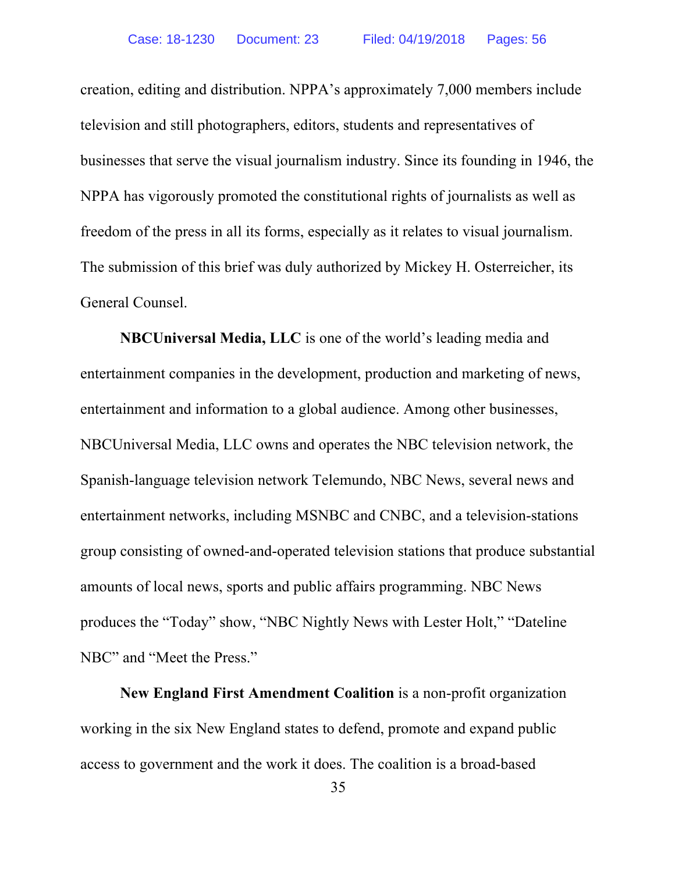creation, editing and distribution. NPPA's approximately 7,000 members include television and still photographers, editors, students and representatives of businesses that serve the visual journalism industry. Since its founding in 1946, the NPPA has vigorously promoted the constitutional rights of journalists as well as freedom of the press in all its forms, especially as it relates to visual journalism. The submission of this brief was duly authorized by Mickey H. Osterreicher, its General Counsel.

**NBCUniversal Media, LLC** is one of the world's leading media and entertainment companies in the development, production and marketing of news, entertainment and information to a global audience. Among other businesses, NBCUniversal Media, LLC owns and operates the NBC television network, the Spanish-language television network Telemundo, NBC News, several news and entertainment networks, including MSNBC and CNBC, and a television-stations group consisting of owned-and-operated television stations that produce substantial amounts of local news, sports and public affairs programming. NBC News produces the "Today" show, "NBC Nightly News with Lester Holt," "Dateline NBC" and "Meet the Press."

**New England First Amendment Coalition** is a non-profit organization working in the six New England states to defend, promote and expand public access to government and the work it does. The coalition is a broad-based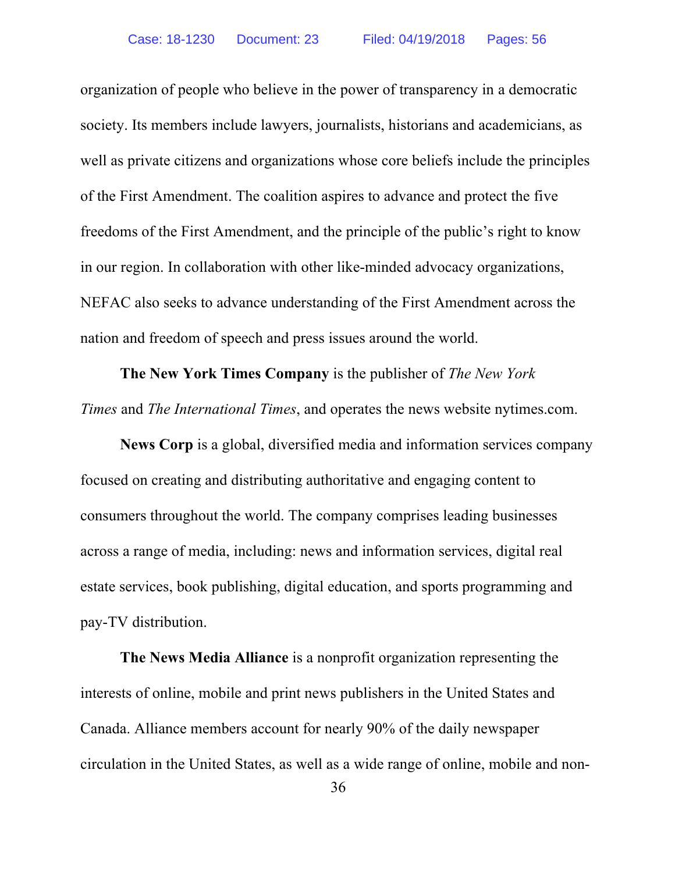organization of people who believe in the power of transparency in a democratic society. Its members include lawyers, journalists, historians and academicians, as well as private citizens and organizations whose core beliefs include the principles of the First Amendment. The coalition aspires to advance and protect the five freedoms of the First Amendment, and the principle of the public's right to know in our region. In collaboration with other like-minded advocacy organizations, NEFAC also seeks to advance understanding of the First Amendment across the nation and freedom of speech and press issues around the world.

**The New York Times Company** is the publisher of *The New York Times* and *The International Times*, and operates the news website nytimes.com.

**News Corp** is a global, diversified media and information services company focused on creating and distributing authoritative and engaging content to consumers throughout the world. The company comprises leading businesses across a range of media, including: news and information services, digital real estate services, book publishing, digital education, and sports programming and pay-TV distribution.

**The News Media Alliance** is a nonprofit organization representing the interests of online, mobile and print news publishers in the United States and Canada. Alliance members account for nearly 90% of the daily newspaper circulation in the United States, as well as a wide range of online, mobile and non-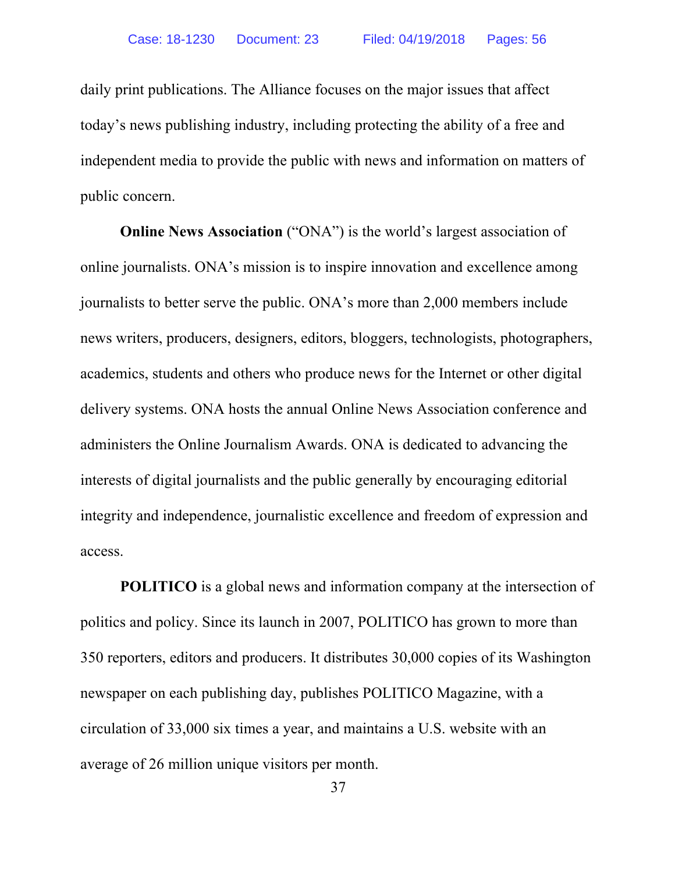daily print publications. The Alliance focuses on the major issues that affect today's news publishing industry, including protecting the ability of a free and independent media to provide the public with news and information on matters of public concern.

**Online News Association** ("ONA") is the world's largest association of online journalists. ONA's mission is to inspire innovation and excellence among journalists to better serve the public. ONA's more than 2,000 members include news writers, producers, designers, editors, bloggers, technologists, photographers, academics, students and others who produce news for the Internet or other digital delivery systems. ONA hosts the annual Online News Association conference and administers the Online Journalism Awards. ONA is dedicated to advancing the interests of digital journalists and the public generally by encouraging editorial integrity and independence, journalistic excellence and freedom of expression and access.

**POLITICO** is a global news and information company at the intersection of politics and policy. Since its launch in 2007, POLITICO has grown to more than 350 reporters, editors and producers. It distributes 30,000 copies of its Washington newspaper on each publishing day, publishes POLITICO Magazine, with a circulation of 33,000 six times a year, and maintains a U.S. website with an average of 26 million unique visitors per month.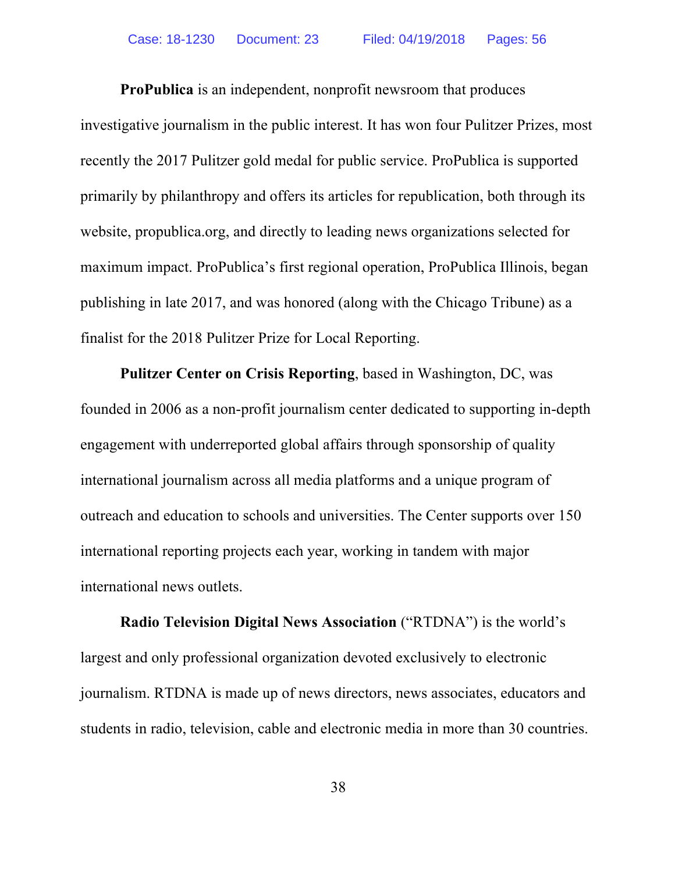**ProPublica** is an independent, nonprofit newsroom that produces investigative journalism in the public interest. It has won four Pulitzer Prizes, most recently the 2017 Pulitzer gold medal for public service. ProPublica is supported primarily by philanthropy and offers its articles for republication, both through its website, propublica.org, and directly to leading news organizations selected for maximum impact. ProPublica's first regional operation, ProPublica Illinois, began publishing in late 2017, and was honored (along with the Chicago Tribune) as a finalist for the 2018 Pulitzer Prize for Local Reporting.

**Pulitzer Center on Crisis Reporting**, based in Washington, DC, was founded in 2006 as a non-profit journalism center dedicated to supporting in-depth engagement with underreported global affairs through sponsorship of quality international journalism across all media platforms and a unique program of outreach and education to schools and universities. The Center supports over 150 international reporting projects each year, working in tandem with major international news outlets.

**Radio Television Digital News Association** ("RTDNA") is the world's largest and only professional organization devoted exclusively to electronic journalism. RTDNA is made up of news directors, news associates, educators and students in radio, television, cable and electronic media in more than 30 countries.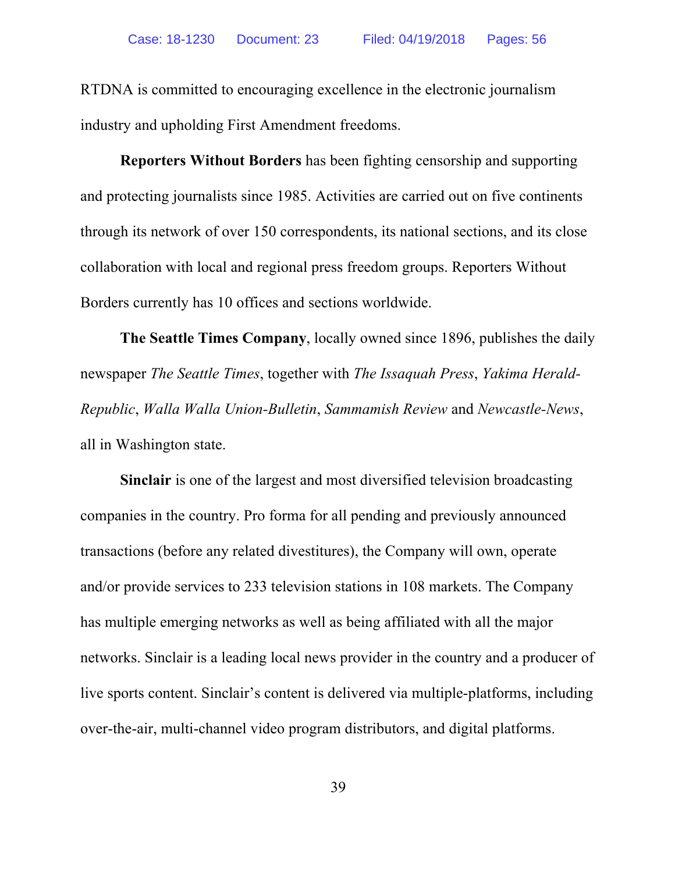RTDNA is committed to encouraging excellence in the electronic journalism industry and upholding First Amendment freedoms.

**Reporters Without Borders** has been fighting censorship and supporting and protecting journalists since 1985. Activities are carried out on five continents through its network of over 150 correspondents, its national sections, and its close collaboration with local and regional press freedom groups. Reporters Without Borders currently has 10 offices and sections worldwide.

**The Seattle Times Company**, locally owned since 1896, publishes the daily newspaper *The Seattle Times*, together with *The Issaquah Press*, *Yakima Herald-Republic*, *Walla Walla Union-Bulletin*, *Sammamish Review* and *Newcastle-News*, all in Washington state.

**Sinclair** is one of the largest and most diversified television broadcasting companies in the country. Pro forma for all pending and previously announced transactions (before any related divestitures), the Company will own, operate and/or provide services to 233 television stations in 108 markets. The Company has multiple emerging networks as well as being affiliated with all the major networks. Sinclair is a leading local news provider in the country and a producer of live sports content. Sinclair's content is delivered via multiple-platforms, including over-the-air, multi-channel video program distributors, and digital platforms.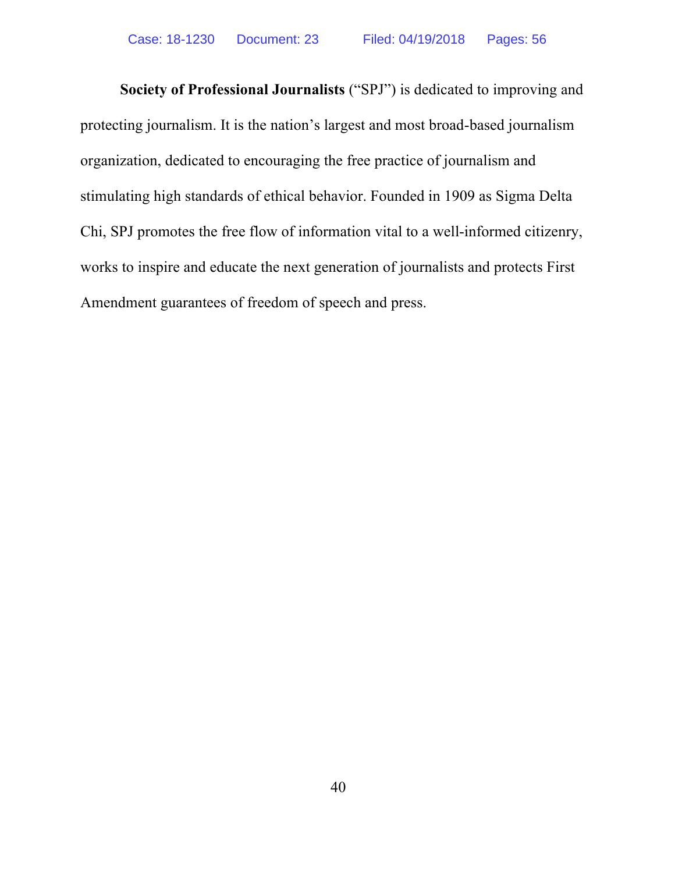**Society of Professional Journalists** ("SPJ") is dedicated to improving and protecting journalism. It is the nation's largest and most broad-based journalism organization, dedicated to encouraging the free practice of journalism and stimulating high standards of ethical behavior. Founded in 1909 as Sigma Delta Chi, SPJ promotes the free flow of information vital to a well-informed citizenry, works to inspire and educate the next generation of journalists and protects First Amendment guarantees of freedom of speech and press.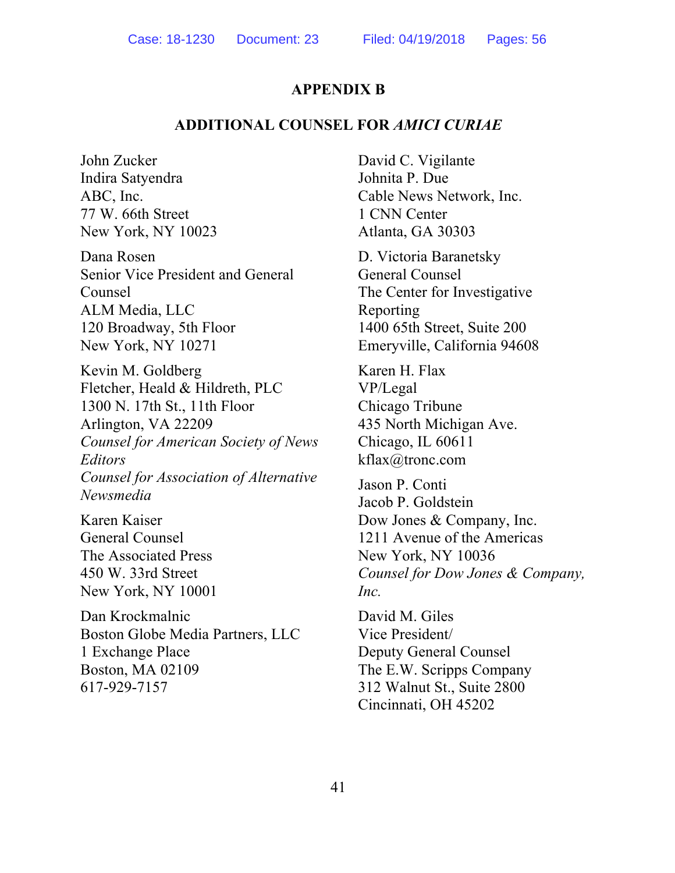#### **APPENDIX B**

#### **ADDITIONAL COUNSEL FOR** *AMICI CURIAE*

John Zucker Indira Satyendra ABC, Inc. 77 W. 66th Street New York, NY 10023

Dana Rosen Senior Vice President and General Counsel ALM Media, LLC 120 Broadway, 5th Floor New York, NY 10271

Kevin M. Goldberg Fletcher, Heald & Hildreth, PLC 1300 N. 17th St., 11th Floor Arlington, VA 22209 *Counsel for American Society of News Editors Counsel for Association of Alternative Newsmedia*

Karen Kaiser General Counsel The Associated Press 450 W. 33rd Street New York, NY 10001

Dan Krockmalnic Boston Globe Media Partners, LLC 1 Exchange Place Boston, MA 02109 617-929-7157

David C. Vigilante Johnita P. Due Cable News Network, Inc. 1 CNN Center Atlanta, GA 30303

D. Victoria Baranetsky General Counsel The Center for Investigative Reporting 1400 65th Street, Suite 200 Emeryville, California 94608

Karen H. Flax VP/Legal Chicago Tribune 435 North Michigan Ave. Chicago, IL 60611 kflax@tronc.com

Jason P. Conti Jacob P. Goldstein Dow Jones & Company, Inc. 1211 Avenue of the Americas New York, NY 10036 *Counsel for Dow Jones & Company, Inc.*

David M. Giles Vice President/ Deputy General Counsel The E.W. Scripps Company 312 Walnut St., Suite 2800 Cincinnati, OH 45202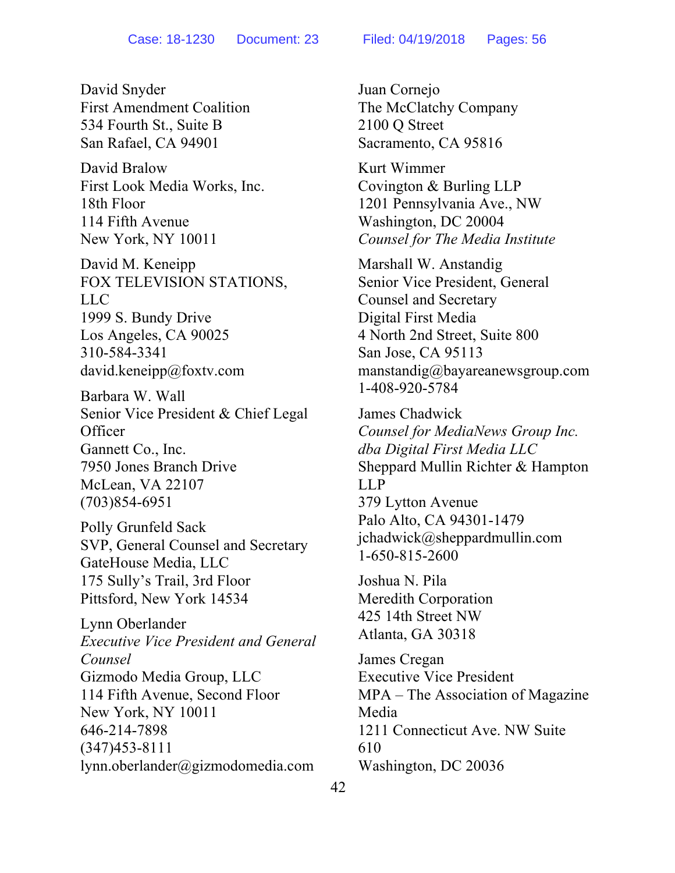David Snyder First Amendment Coalition 534 Fourth St., Suite B San Rafael, CA 94901

David Bralow First Look Media Works, Inc. 18th Floor 114 Fifth Avenue New York, NY 10011

David M. Keneipp FOX TELEVISION STATIONS, LLC 1999 S. Bundy Drive Los Angeles, CA 90025 310-584-3341 david.keneipp@foxtv.com

Barbara W. Wall Senior Vice President & Chief Legal **Officer** Gannett Co., Inc. 7950 Jones Branch Drive McLean, VA 22107 (703)854-6951

Polly Grunfeld Sack SVP, General Counsel and Secretary GateHouse Media, LLC 175 Sully's Trail, 3rd Floor Pittsford, New York 14534

Lynn Oberlander *Executive Vice President and General Counsel* Gizmodo Media Group, LLC 114 Fifth Avenue, Second Floor New York, NY 10011 646-214-7898 (347)453-8111 lynn.oberlander@gizmodomedia.com

Juan Cornejo The McClatchy Company 2100 Q Street Sacramento, CA 95816

Kurt Wimmer Covington & Burling LLP 1201 Pennsylvania Ave., NW Washington, DC 20004 *Counsel for The Media Institute*

Marshall W. Anstandig Senior Vice President, General Counsel and Secretary Digital First Media 4 North 2nd Street, Suite 800 San Jose, CA 95113 manstandig@bayareanewsgroup.com 1-408-920-5784

James Chadwick *Counsel for MediaNews Group Inc. dba Digital First Media LLC* Sheppard Mullin Richter & Hampton LLP 379 Lytton Avenue Palo Alto, CA 94301-1479 jchadwick@sheppardmullin.com 1-650-815-2600

Joshua N. Pila Meredith Corporation 425 14th Street NW Atlanta, GA 30318

James Cregan Executive Vice President MPA – The Association of Magazine Media 1211 Connecticut Ave. NW Suite 610 Washington, DC 20036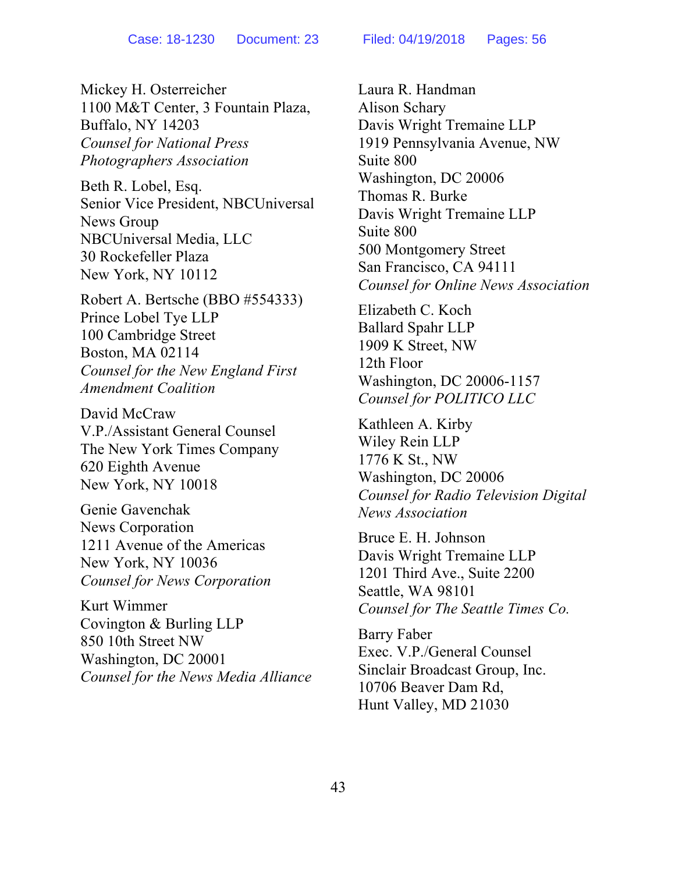Mickey H. Osterreicher 1100 M&T Center, 3 Fountain Plaza, Buffalo, NY 14203 *Counsel for National Press Photographers Association*

Beth R. Lobel, Esq. Senior Vice President, NBCUniversal News Group NBCUniversal Media, LLC 30 Rockefeller Plaza New York, NY 10112

Robert A. Bertsche (BBO #554333) Prince Lobel Tye LLP 100 Cambridge Street Boston, MA 02114 *Counsel for the New England First Amendment Coalition*

David McCraw V.P./Assistant General Counsel The New York Times Company 620 Eighth Avenue New York, NY 10018

Genie Gavenchak News Corporation 1211 Avenue of the Americas New York, NY 10036 *Counsel for News Corporation*

Kurt Wimmer Covington & Burling LLP 850 10th Street NW Washington, DC 20001 *Counsel for the News Media Alliance* Laura R. Handman Alison Schary Davis Wright Tremaine LLP 1919 Pennsylvania Avenue, NW Suite 800 Washington, DC 20006 Thomas R. Burke Davis Wright Tremaine LLP Suite 800 500 Montgomery Street San Francisco, CA 94111 *Counsel for Online News Association*

Elizabeth C. Koch Ballard Spahr LLP 1909 K Street, NW 12th Floor Washington, DC 20006-1157 *Counsel for POLITICO LLC*

Kathleen A. Kirby Wiley Rein LLP 1776 K St., NW Washington, DC 20006 *Counsel for Radio Television Digital News Association*

Bruce E. H. Johnson Davis Wright Tremaine LLP 1201 Third Ave., Suite 2200 Seattle, WA 98101 *Counsel for The Seattle Times Co.*

Barry Faber Exec. V.P./General Counsel Sinclair Broadcast Group, Inc. 10706 Beaver Dam Rd, Hunt Valley, MD 21030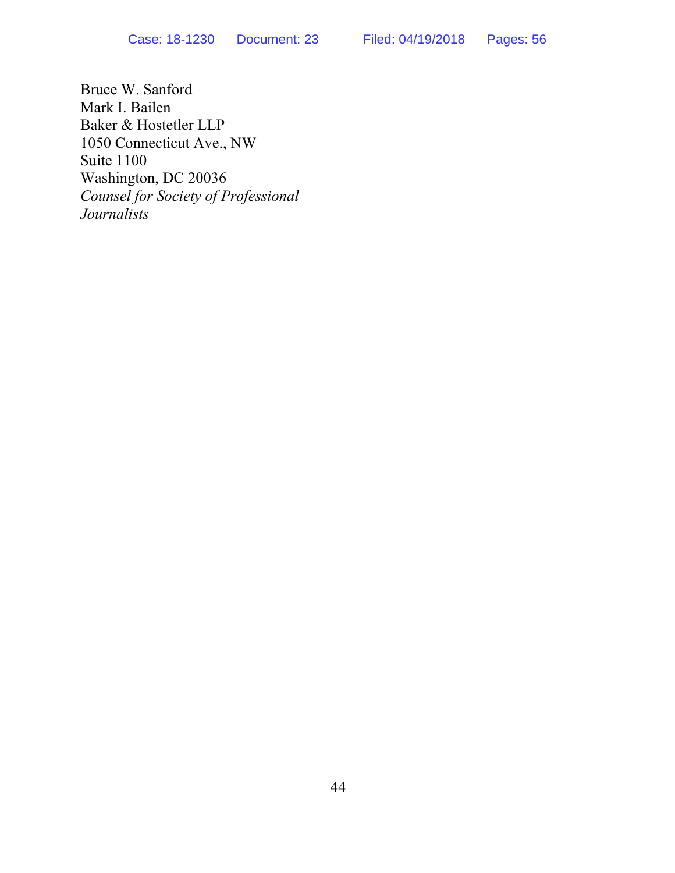Bruce W. Sanford Mark I. Bailen Baker & Hostetler LLP 1050 Connecticut Ave., NW Suite 1100 Washington, DC 20036 *Counsel for Society of Professional Journalists*